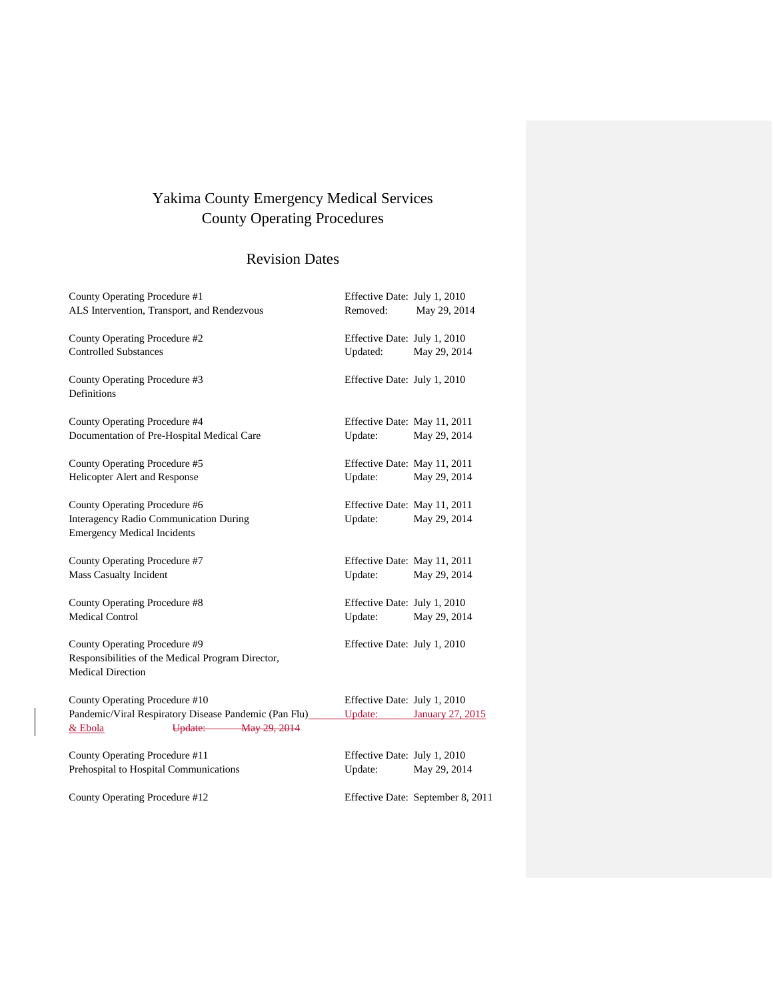# Yakima County Emergency Medical Services County Operating Procedures

# Revision Dates

| County Operating Procedure #1                                                 | Effective Date: July 1, 2010 |                                   |
|-------------------------------------------------------------------------------|------------------------------|-----------------------------------|
| ALS Intervention, Transport, and Rendezvous                                   | Removed:                     | May 29, 2014                      |
| County Operating Procedure #2                                                 | Effective Date: July 1, 2010 |                                   |
| <b>Controlled Substances</b>                                                  | Updated:                     | May 29, 2014                      |
| County Operating Procedure #3<br>Definitions                                  | Effective Date: July 1, 2010 |                                   |
| County Operating Procedure #4                                                 | Effective Date: May 11, 2011 |                                   |
| Documentation of Pre-Hospital Medical Care                                    | Update:                      | May 29, 2014                      |
| County Operating Procedure #5                                                 | Effective Date: May 11, 2011 |                                   |
| Helicopter Alert and Response                                                 | Update:                      | May 29, 2014                      |
| County Operating Procedure #6                                                 | Effective Date: May 11, 2011 |                                   |
| Interagency Radio Communication During<br><b>Emergency Medical Incidents</b>  | Update:                      | May 29, 2014                      |
| County Operating Procedure #7                                                 | Effective Date: May 11, 2011 |                                   |
| Mass Casualty Incident                                                        | Update:                      | May 29, 2014                      |
| County Operating Procedure #8                                                 | Effective Date: July 1, 2010 |                                   |
| <b>Medical Control</b>                                                        | Update:                      | May 29, 2014                      |
| County Operating Procedure #9                                                 | Effective Date: July 1, 2010 |                                   |
| Responsibilities of the Medical Program Director,<br><b>Medical Direction</b> |                              |                                   |
| County Operating Procedure #10                                                | Effective Date: July 1, 2010 |                                   |
| Pandemic/Viral Respiratory Disease Pandemic (Pan Flu)_____                    |                              | Update: January 27, 2015          |
| Update: May 29, 2014<br>& Ebola                                               |                              |                                   |
| County Operating Procedure #11                                                | Effective Date: July 1, 2010 |                                   |
| Prehospital to Hospital Communications                                        | Update:                      | May 29, 2014                      |
| County Operating Procedure #12                                                |                              | Effective Date: September 8, 2011 |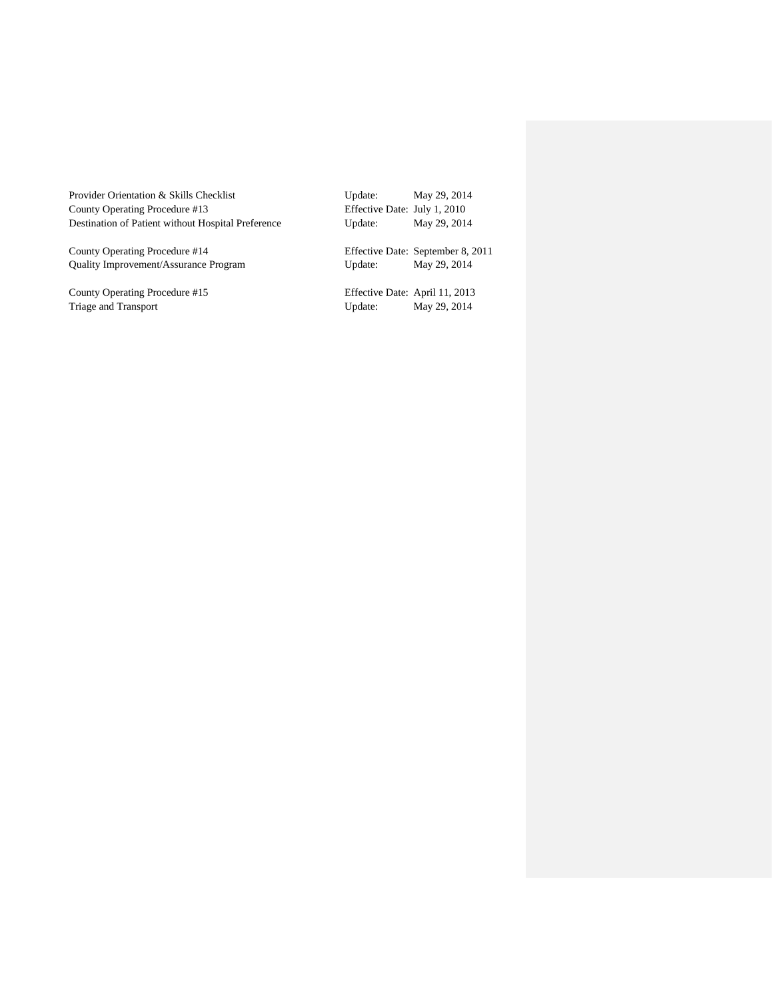| Provider Orientation & Skills Checklist            | Update:                        | May 29, 2014                      |
|----------------------------------------------------|--------------------------------|-----------------------------------|
| County Operating Procedure #13                     | Effective Date: July 1, 2010   |                                   |
| Destination of Patient without Hospital Preference | Update:                        | May 29, 2014                      |
| County Operating Procedure #14                     |                                | Effective Date: September 8, 2011 |
| <b>Ouality Improvement/Assurance Program</b>       | Update:                        | May 29, 2014                      |
| County Operating Procedure #15                     | Effective Date: April 11, 2013 |                                   |
| Triage and Transport                               | Update:                        | May 29, 2014                      |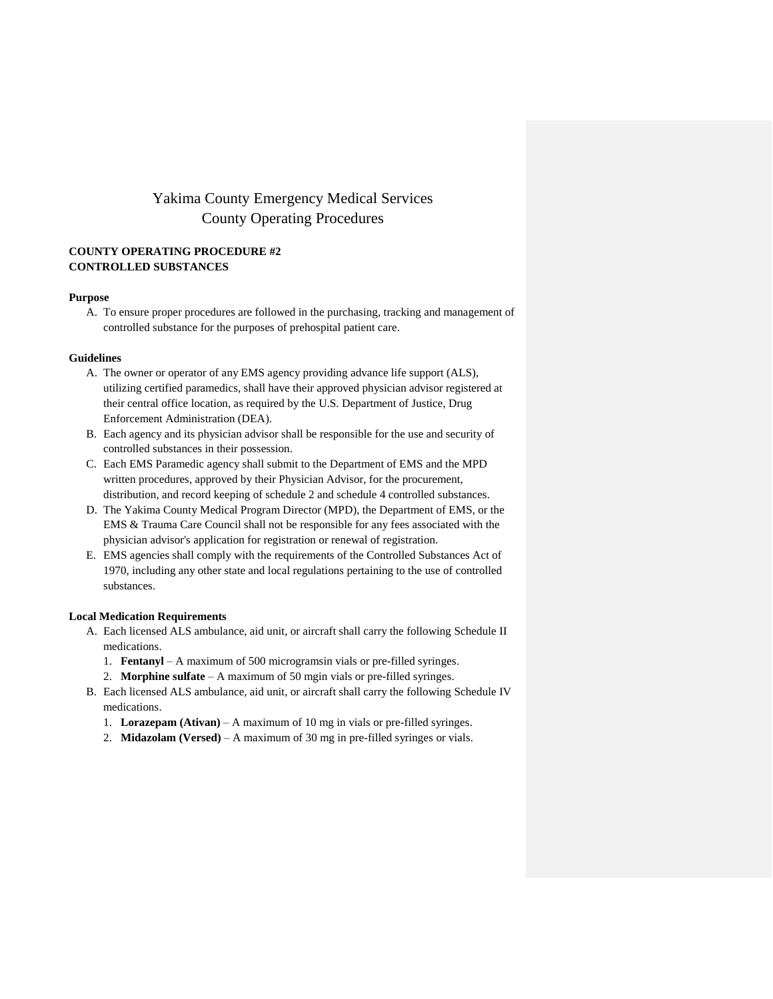## Yakima County Emergency Medical Services County Operating Procedures

## **COUNTY OPERATING PROCEDURE #2 CONTROLLED SUBSTANCES**

#### **Purpose**

A. To ensure proper procedures are followed in the purchasing, tracking and management of controlled substance for the purposes of prehospital patient care.

#### **Guidelines**

- A. The owner or operator of any EMS agency providing advance life support (ALS), utilizing certified paramedics, shall have their approved physician advisor registered at their central office location, as required by the U.S. Department of Justice, Drug Enforcement Administration (DEA).
- B. Each agency and its physician advisor shall be responsible for the use and security of controlled substances in their possession.
- C. Each EMS Paramedic agency shall submit to the Department of EMS and the MPD written procedures, approved by their Physician Advisor, for the procurement, distribution, and record keeping of schedule 2 and schedule 4 controlled substances.
- D. The Yakima County Medical Program Director (MPD), the Department of EMS, or the EMS & Trauma Care Council shall not be responsible for any fees associated with the physician advisor's application for registration or renewal of registration.
- E. EMS agencies shall comply with the requirements of the Controlled Substances Act of 1970, including any other state and local regulations pertaining to the use of controlled substances.

## **Local Medication Requirements**

- A. Each licensed ALS ambulance, aid unit, or aircraft shall carry the following Schedule II medications.
	- 1. **Fentanyl** A maximum of 500 microgramsin vials or pre-filled syringes.
	- 2. **Morphine sulfate** A maximum of 50 mgin vials or pre-filled syringes.
- B. Each licensed ALS ambulance, aid unit, or aircraft shall carry the following Schedule IV medications.
	- 1. **Lorazepam (Ativan)** A maximum of 10 mg in vials or pre-filled syringes.
	- 2. **Midazolam (Versed)** A maximum of 30 mg in pre-filled syringes or vials.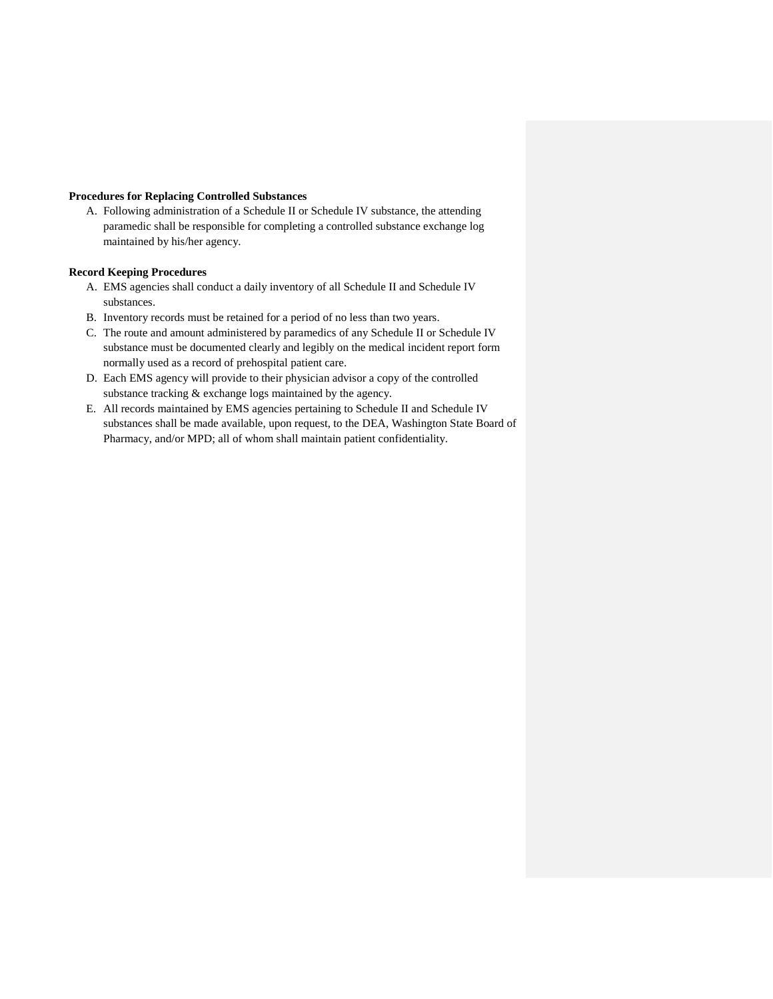#### **Procedures for Replacing Controlled Substances**

A. Following administration of a Schedule II or Schedule IV substance, the attending paramedic shall be responsible for completing a controlled substance exchange log maintained by his/her agency.

#### **Record Keeping Procedures**

- A. EMS agencies shall conduct a daily inventory of all Schedule II and Schedule IV substances.
- B. Inventory records must be retained for a period of no less than two years.
- C. The route and amount administered by paramedics of any Schedule II or Schedule IV substance must be documented clearly and legibly on the medical incident report form normally used as a record of prehospital patient care.
- D. Each EMS agency will provide to their physician advisor a copy of the controlled substance tracking & exchange logs maintained by the agency.
- E. All records maintained by EMS agencies pertaining to Schedule II and Schedule IV substances shall be made available, upon request, to the DEA, Washington State Board of Pharmacy, and/or MPD; all of whom shall maintain patient confidentiality.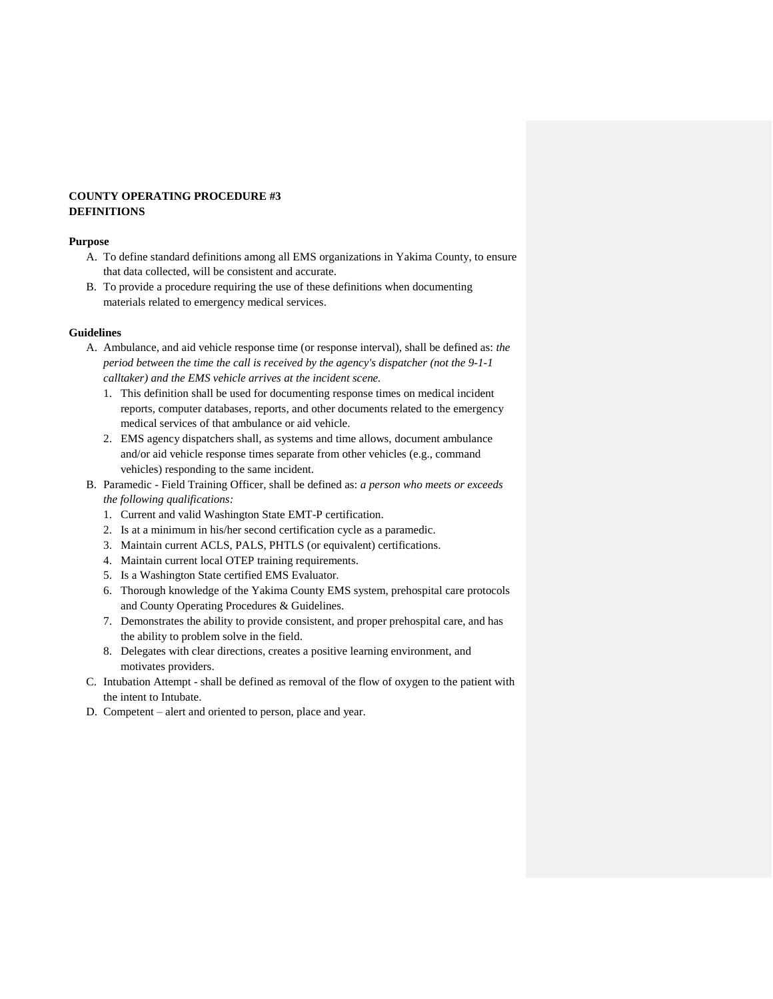## **COUNTY OPERATING PROCEDURE #3 DEFINITIONS**

#### **Purpose**

- A. To define standard definitions among all EMS organizations in Yakima County, to ensure that data collected, will be consistent and accurate.
- B. To provide a procedure requiring the use of these definitions when documenting materials related to emergency medical services.

## **Guidelines**

- A. Ambulance, and aid vehicle response time (or response interval), shall be defined as: *the period between the time the call is received by the agency's dispatcher (not the 9-1-1 calltaker) and the EMS vehicle arrives at the incident scene.*
	- 1. This definition shall be used for documenting response times on medical incident reports, computer databases, reports, and other documents related to the emergency medical services of that ambulance or aid vehicle.
	- 2. EMS agency dispatchers shall, as systems and time allows, document ambulance and/or aid vehicle response times separate from other vehicles (e.g., command vehicles) responding to the same incident.
- B. Paramedic Field Training Officer, shall be defined as: *a person who meets or exceeds the following qualifications:*
	- 1. Current and valid Washington State EMT-P certification.
	- 2. Is at a minimum in his/her second certification cycle as a paramedic.
	- 3. Maintain current ACLS, PALS, PHTLS (or equivalent) certifications.
	- 4. Maintain current local OTEP training requirements.
	- 5. Is a Washington State certified EMS Evaluator.
	- 6. Thorough knowledge of the Yakima County EMS system, prehospital care protocols and County Operating Procedures & Guidelines.
	- 7. Demonstrates the ability to provide consistent, and proper prehospital care, and has the ability to problem solve in the field.
	- 8. Delegates with clear directions, creates a positive learning environment, and motivates providers.
- C. Intubation Attempt shall be defined as removal of the flow of oxygen to the patient with the intent to Intubate.
- D. Competent alert and oriented to person, place and year.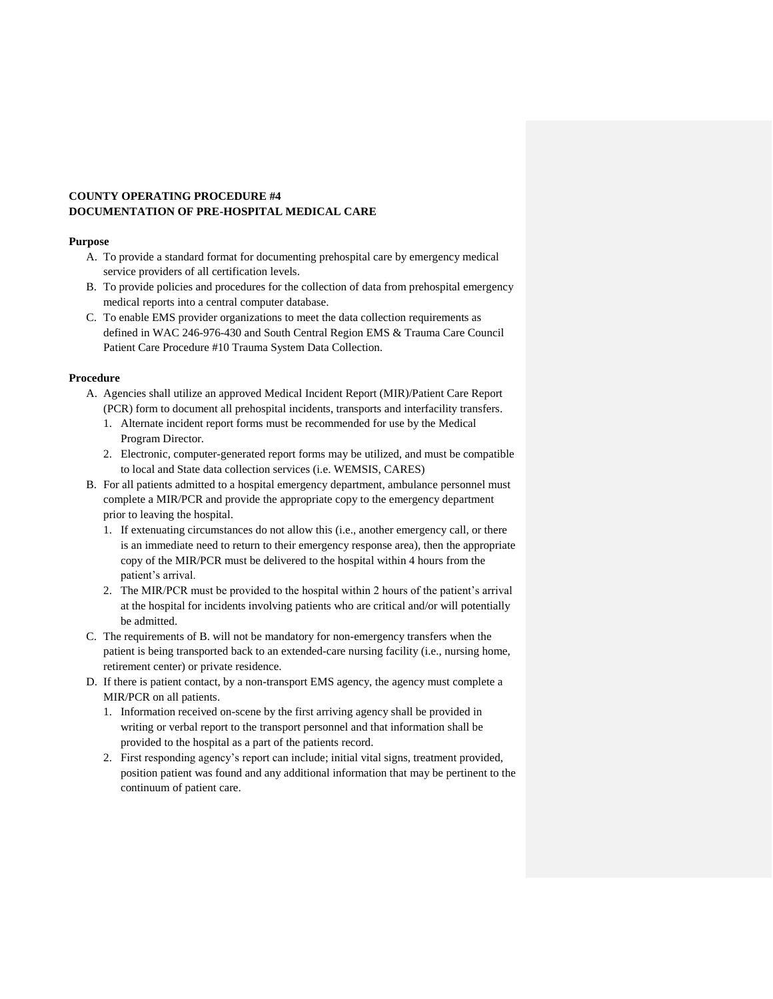## **COUNTY OPERATING PROCEDURE #4 DOCUMENTATION OF PRE-HOSPITAL MEDICAL CARE**

#### **Purpose**

- A. To provide a standard format for documenting prehospital care by emergency medical service providers of all certification levels.
- B. To provide policies and procedures for the collection of data from prehospital emergency medical reports into a central computer database.
- C. To enable EMS provider organizations to meet the data collection requirements as defined in WAC 246-976-430 and South Central Region EMS & Trauma Care Council Patient Care Procedure #10 Trauma System Data Collection.

## **Procedure**

- A. Agencies shall utilize an approved Medical Incident Report (MIR)/Patient Care Report (PCR) form to document all prehospital incidents, transports and interfacility transfers.
	- 1. Alternate incident report forms must be recommended for use by the Medical Program Director.
	- 2. Electronic, computer-generated report forms may be utilized, and must be compatible to local and State data collection services (i.e. WEMSIS, CARES)
- B. For all patients admitted to a hospital emergency department, ambulance personnel must complete a MIR/PCR and provide the appropriate copy to the emergency department prior to leaving the hospital.
	- 1. If extenuating circumstances do not allow this (i.e., another emergency call, or there is an immediate need to return to their emergency response area), then the appropriate copy of the MIR/PCR must be delivered to the hospital within 4 hours from the patient's arrival.
	- 2. The MIR/PCR must be provided to the hospital within 2 hours of the patient's arrival at the hospital for incidents involving patients who are critical and/or will potentially be admitted.
- C. The requirements of B. will not be mandatory for non-emergency transfers when the patient is being transported back to an extended-care nursing facility (i.e., nursing home, retirement center) or private residence.
- D. If there is patient contact, by a non-transport EMS agency, the agency must complete a MIR/PCR on all patients.
	- 1. Information received on-scene by the first arriving agency shall be provided in writing or verbal report to the transport personnel and that information shall be provided to the hospital as a part of the patients record.
	- 2. First responding agency's report can include; initial vital signs, treatment provided, position patient was found and any additional information that may be pertinent to the continuum of patient care.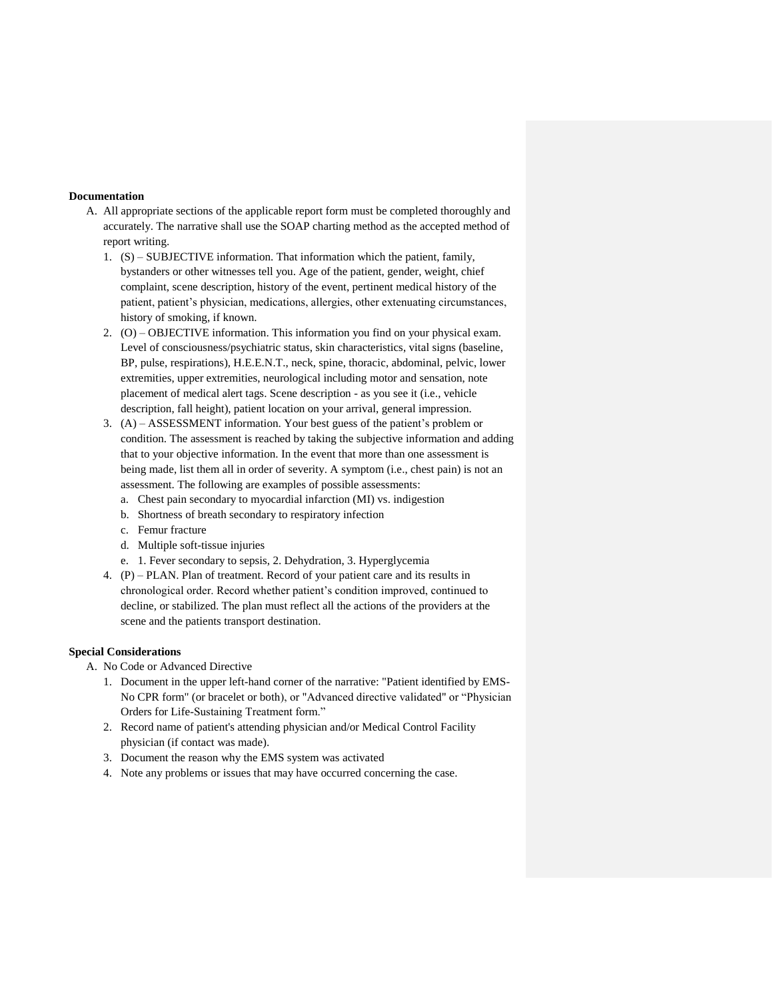#### **Documentation**

- A. All appropriate sections of the applicable report form must be completed thoroughly and accurately. The narrative shall use the SOAP charting method as the accepted method of report writing.
	- 1. (S) SUBJECTIVE information. That information which the patient, family, bystanders or other witnesses tell you. Age of the patient, gender, weight, chief complaint, scene description, history of the event, pertinent medical history of the patient, patient's physician, medications, allergies, other extenuating circumstances, history of smoking, if known.
	- 2. (O) OBJECTIVE information. This information you find on your physical exam. Level of consciousness/psychiatric status, skin characteristics, vital signs (baseline, BP, pulse, respirations), H.E.E.N.T., neck, spine, thoracic, abdominal, pelvic, lower extremities, upper extremities, neurological including motor and sensation, note placement of medical alert tags. Scene description - as you see it (i.e., vehicle description, fall height), patient location on your arrival, general impression.
	- 3. (A) ASSESSMENT information. Your best guess of the patient's problem or condition. The assessment is reached by taking the subjective information and adding that to your objective information. In the event that more than one assessment is being made, list them all in order of severity. A symptom (i.e., chest pain) is not an assessment. The following are examples of possible assessments:
		- a. Chest pain secondary to myocardial infarction (MI) vs. indigestion
		- b. Shortness of breath secondary to respiratory infection
		- c. Femur fracture
		- d. Multiple soft-tissue injuries
		- e. 1. Fever secondary to sepsis, 2. Dehydration, 3. Hyperglycemia
	- 4. (P) PLAN. Plan of treatment. Record of your patient care and its results in chronological order. Record whether patient's condition improved, continued to decline, or stabilized. The plan must reflect all the actions of the providers at the scene and the patients transport destination.

#### **Special Considerations**

A. No Code or Advanced Directive

- 1. Document in the upper left-hand corner of the narrative: "Patient identified by EMS-No CPR form" (or bracelet or both), or "Advanced directive validated" or "Physician Orders for Life-Sustaining Treatment form."
- 2. Record name of patient's attending physician and/or Medical Control Facility physician (if contact was made).
- 3. Document the reason why the EMS system was activated
- 4. Note any problems or issues that may have occurred concerning the case.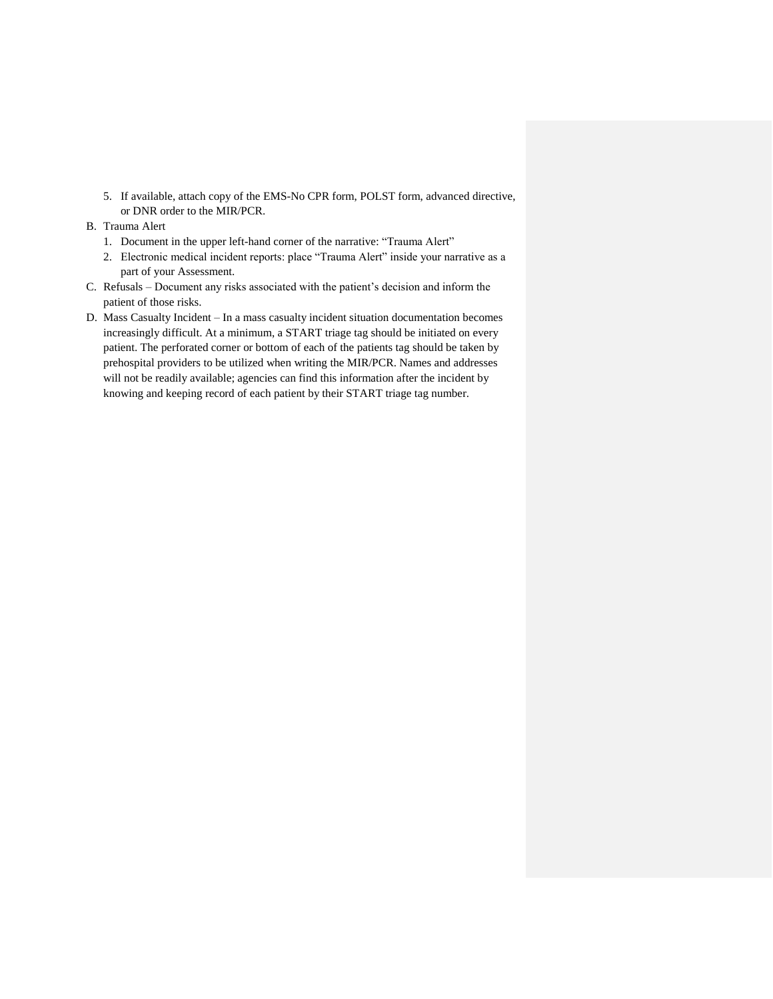5. If available, attach copy of the EMS-No CPR form, POLST form, advanced directive, or DNR order to the MIR/PCR.

## B. Trauma Alert

- 1. Document in the upper left-hand corner of the narrative: "Trauma Alert"
- 2. Electronic medical incident reports: place "Trauma Alert" inside your narrative as a part of your Assessment.
- C. Refusals Document any risks associated with the patient's decision and inform the patient of those risks.
- D. Mass Casualty Incident In a mass casualty incident situation documentation becomes increasingly difficult. At a minimum, a START triage tag should be initiated on every patient. The perforated corner or bottom of each of the patients tag should be taken by prehospital providers to be utilized when writing the MIR/PCR. Names and addresses will not be readily available; agencies can find this information after the incident by knowing and keeping record of each patient by their START triage tag number.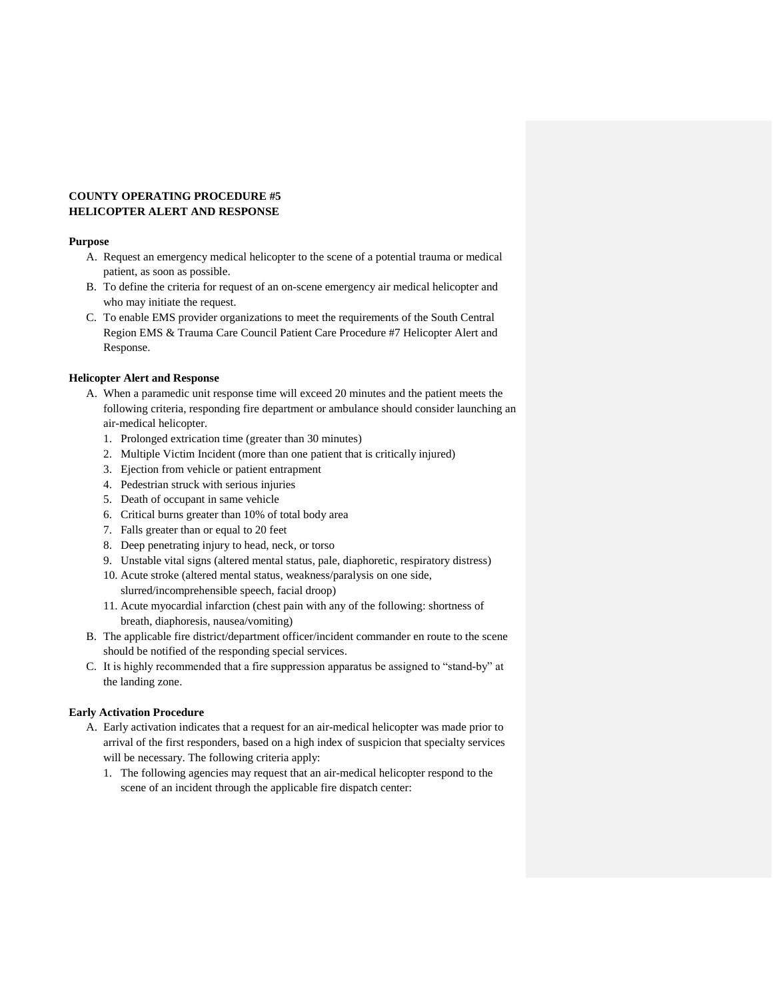#### **COUNTY OPERATING PROCEDURE #5 HELICOPTER ALERT AND RESPONSE**

#### **Purpose**

- A. Request an emergency medical helicopter to the scene of a potential trauma or medical patient, as soon as possible.
- B. To define the criteria for request of an on-scene emergency air medical helicopter and who may initiate the request.
- C. To enable EMS provider organizations to meet the requirements of the South Central Region EMS & Trauma Care Council Patient Care Procedure #7 Helicopter Alert and Response.

## **Helicopter Alert and Response**

- A. When a paramedic unit response time will exceed 20 minutes and the patient meets the following criteria, responding fire department or ambulance should consider launching an air-medical helicopter.
	- 1. Prolonged extrication time (greater than 30 minutes)
	- 2. Multiple Victim Incident (more than one patient that is critically injured)
	- 3. Ejection from vehicle or patient entrapment
	- 4. Pedestrian struck with serious injuries
	- 5. Death of occupant in same vehicle
	- 6. Critical burns greater than 10% of total body area
	- 7. Falls greater than or equal to 20 feet
	- 8. Deep penetrating injury to head, neck, or torso
	- 9. Unstable vital signs (altered mental status, pale, diaphoretic, respiratory distress)
	- 10. Acute stroke (altered mental status, weakness/paralysis on one side,
		- slurred/incomprehensible speech, facial droop)
	- 11. Acute myocardial infarction (chest pain with any of the following: shortness of breath, diaphoresis, nausea/vomiting)
- B. The applicable fire district/department officer/incident commander en route to the scene should be notified of the responding special services.
- C. It is highly recommended that a fire suppression apparatus be assigned to "stand-by" at the landing zone.

## **Early Activation Procedure**

- A. Early activation indicates that a request for an air-medical helicopter was made prior to arrival of the first responders, based on a high index of suspicion that specialty services will be necessary. The following criteria apply:
	- 1. The following agencies may request that an air-medical helicopter respond to the scene of an incident through the applicable fire dispatch center: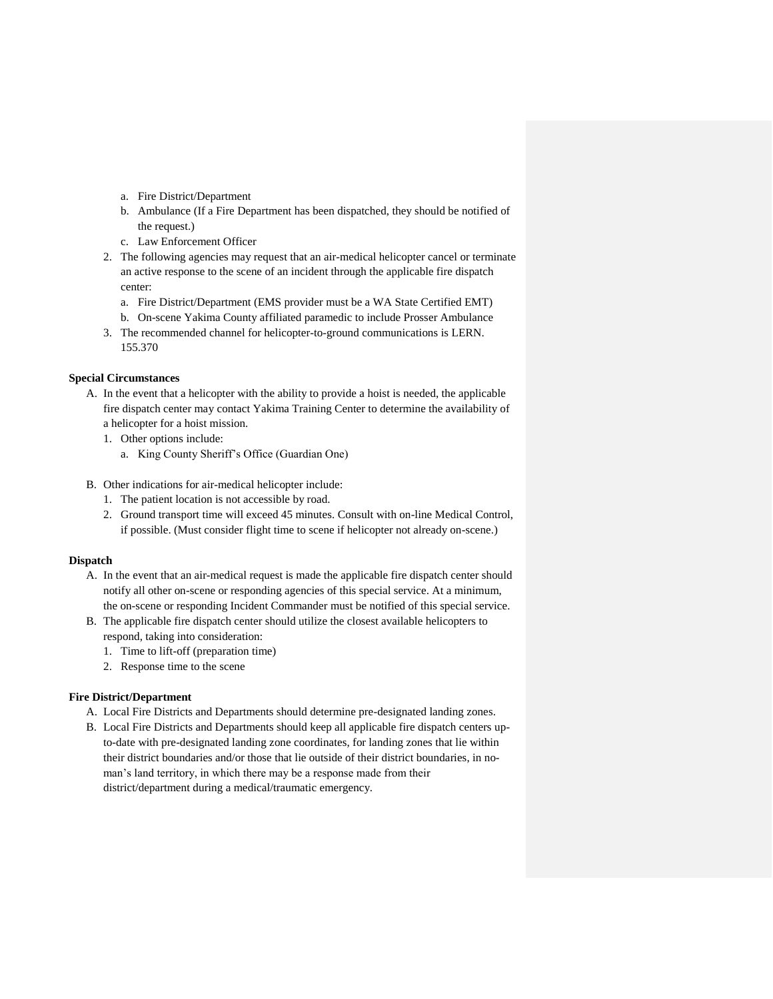- a. Fire District/Department
- b. Ambulance (If a Fire Department has been dispatched, they should be notified of the request.)
- c. Law Enforcement Officer
- 2. The following agencies may request that an air-medical helicopter cancel or terminate an active response to the scene of an incident through the applicable fire dispatch center:
	- a. Fire District/Department (EMS provider must be a WA State Certified EMT)
	- b. On-scene Yakima County affiliated paramedic to include Prosser Ambulance
- 3. The recommended channel for helicopter-to-ground communications is LERN. 155.370

## **Special Circumstances**

- A. In the event that a helicopter with the ability to provide a hoist is needed, the applicable fire dispatch center may contact Yakima Training Center to determine the availability of a helicopter for a hoist mission.
	- 1. Other options include:
		- a. King County Sheriff's Office (Guardian One)
- B. Other indications for air-medical helicopter include:
	- 1. The patient location is not accessible by road.
	- 2. Ground transport time will exceed 45 minutes. Consult with on-line Medical Control, if possible. (Must consider flight time to scene if helicopter not already on-scene.)

#### **Dispatch**

- A. In the event that an air-medical request is made the applicable fire dispatch center should notify all other on-scene or responding agencies of this special service. At a minimum, the on-scene or responding Incident Commander must be notified of this special service.
- B. The applicable fire dispatch center should utilize the closest available helicopters to respond, taking into consideration:
	- 1. Time to lift-off (preparation time)
	- 2. Response time to the scene

## **Fire District/Department**

- A. Local Fire Districts and Departments should determine pre-designated landing zones.
- B. Local Fire Districts and Departments should keep all applicable fire dispatch centers upto-date with pre-designated landing zone coordinates, for landing zones that lie within their district boundaries and/or those that lie outside of their district boundaries, in noman's land territory, in which there may be a response made from their district/department during a medical/traumatic emergency.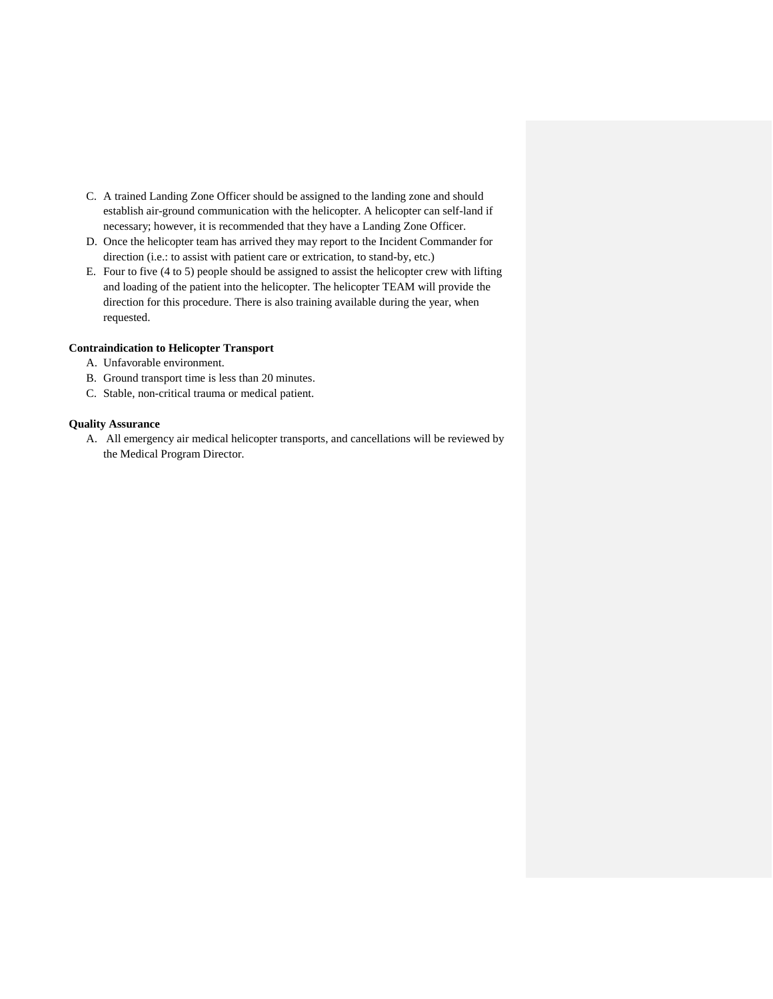- C. A trained Landing Zone Officer should be assigned to the landing zone and should establish air-ground communication with the helicopter. A helicopter can self-land if necessary; however, it is recommended that they have a Landing Zone Officer.
- D. Once the helicopter team has arrived they may report to the Incident Commander for direction (i.e.: to assist with patient care or extrication, to stand-by, etc.)
- E. Four to five (4 to 5) people should be assigned to assist the helicopter crew with lifting and loading of the patient into the helicopter. The helicopter TEAM will provide the direction for this procedure. There is also training available during the year, when requested.

## **Contraindication to Helicopter Transport**

- A. Unfavorable environment.
- B. Ground transport time is less than 20 minutes.
- C. Stable, non-critical trauma or medical patient.

#### **Quality Assurance**

A. All emergency air medical helicopter transports, and cancellations will be reviewed by the Medical Program Director.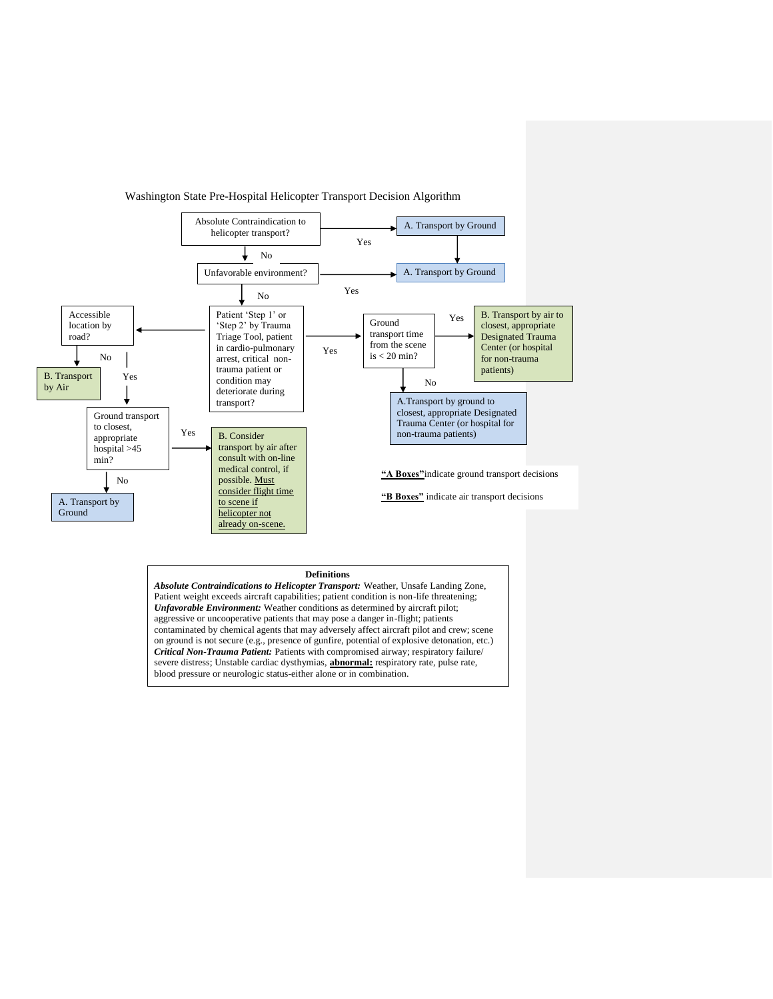

Washington State Pre-Hospital Helicopter Transport Decision Algorithm

severe distress; Unstable cardiac dysthymias, **abnormal:** respiratory rate, pulse rate, blood pressure or neurologic status-either alone or in combination.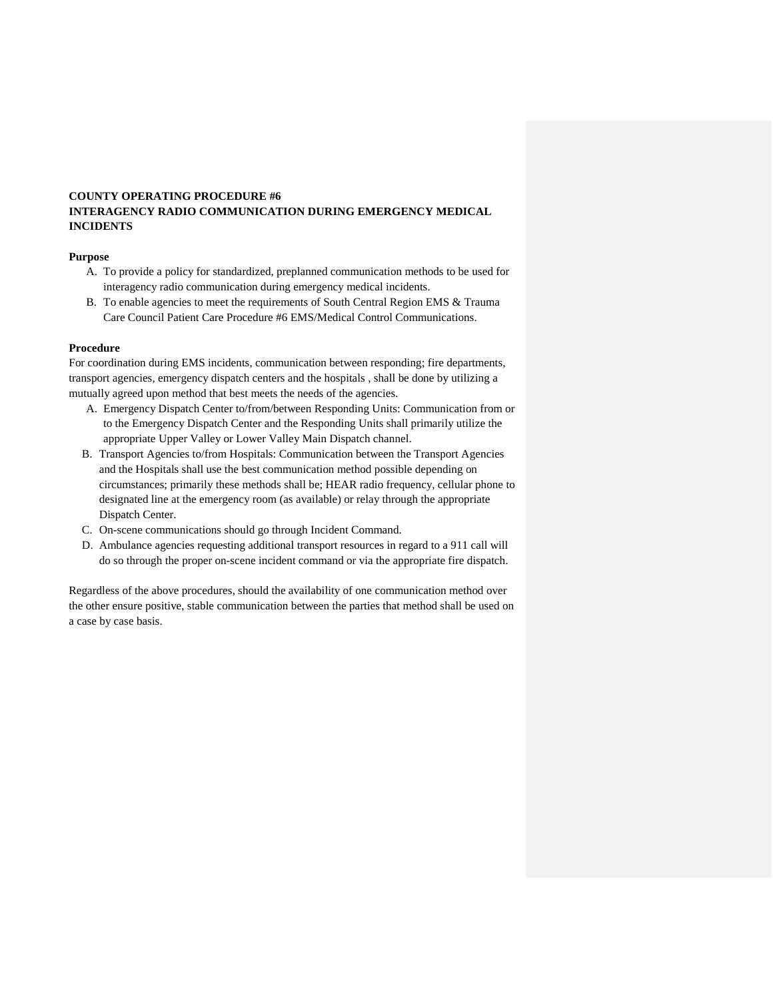## **COUNTY OPERATING PROCEDURE #6 INTERAGENCY RADIO COMMUNICATION DURING EMERGENCY MEDICAL INCIDENTS**

## **Purpose**

- A. To provide a policy for standardized, preplanned communication methods to be used for interagency radio communication during emergency medical incidents.
- B. To enable agencies to meet the requirements of South Central Region EMS & Trauma Care Council Patient Care Procedure #6 EMS/Medical Control Communications.

#### **Procedure**

For coordination during EMS incidents, communication between responding; fire departments, transport agencies, emergency dispatch centers and the hospitals , shall be done by utilizing a mutually agreed upon method that best meets the needs of the agencies.

- A. Emergency Dispatch Center to/from/between Responding Units: Communication from or to the Emergency Dispatch Center and the Responding Units shall primarily utilize the appropriate Upper Valley or Lower Valley Main Dispatch channel.
- B. Transport Agencies to/from Hospitals: Communication between the Transport Agencies and the Hospitals shall use the best communication method possible depending on circumstances; primarily these methods shall be; HEAR radio frequency, cellular phone to designated line at the emergency room (as available) or relay through the appropriate Dispatch Center.
- C. On-scene communications should go through Incident Command.
- D. Ambulance agencies requesting additional transport resources in regard to a 911 call will do so through the proper on-scene incident command or via the appropriate fire dispatch.

Regardless of the above procedures, should the availability of one communication method over the other ensure positive, stable communication between the parties that method shall be used on a case by case basis.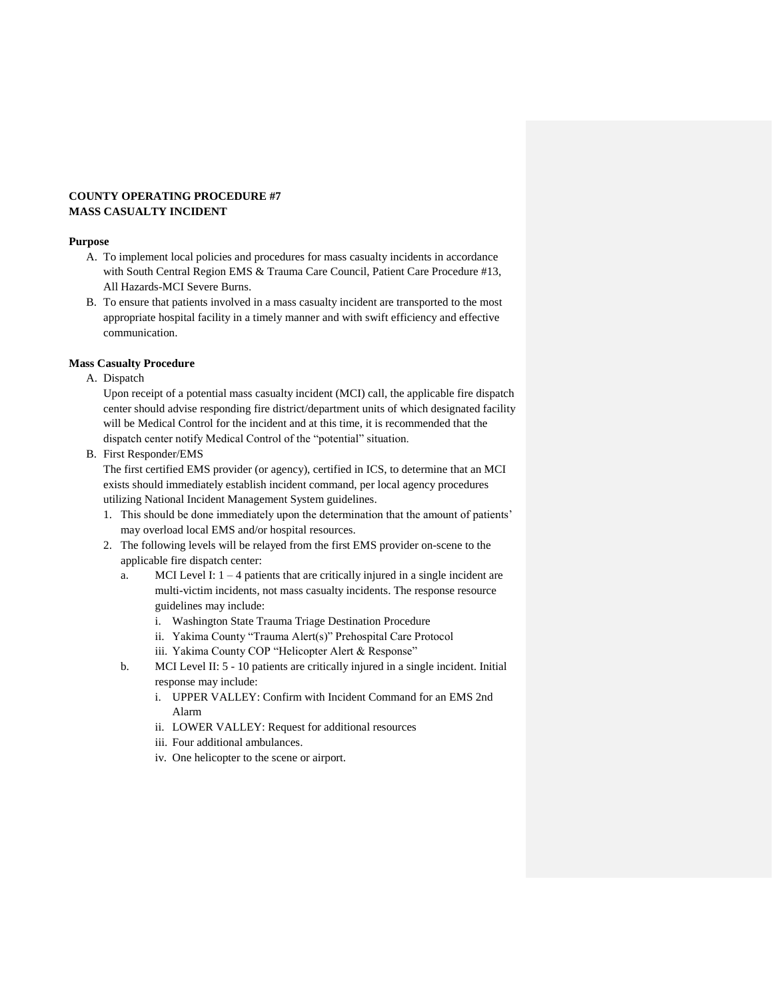## **COUNTY OPERATING PROCEDURE #7 MASS CASUALTY INCIDENT**

#### **Purpose**

- A. To implement local policies and procedures for mass casualty incidents in accordance with South Central Region EMS & Trauma Care Council, Patient Care Procedure #13, All Hazards-MCI Severe Burns.
- B. To ensure that patients involved in a mass casualty incident are transported to the most appropriate hospital facility in a timely manner and with swift efficiency and effective communication.

#### **Mass Casualty Procedure**

A. Dispatch

Upon receipt of a potential mass casualty incident (MCI) call, the applicable fire dispatch center should advise responding fire district/department units of which designated facility will be Medical Control for the incident and at this time, it is recommended that the dispatch center notify Medical Control of the "potential" situation.

B. First Responder/EMS

The first certified EMS provider (or agency), certified in ICS, to determine that an MCI exists should immediately establish incident command, per local agency procedures utilizing National Incident Management System guidelines.

- 1. This should be done immediately upon the determination that the amount of patients' may overload local EMS and/or hospital resources.
- 2. The following levels will be relayed from the first EMS provider on-scene to the applicable fire dispatch center:
	- a. MCI Level I:  $1 4$  patients that are critically injured in a single incident are multi-victim incidents, not mass casualty incidents. The response resource guidelines may include:
		- i. Washington State Trauma Triage Destination Procedure
		- ii. Yakima County "Trauma Alert(s)" Prehospital Care Protocol
		- iii. Yakima County COP "Helicopter Alert & Response"
	- b. MCI Level II: 5 10 patients are critically injured in a single incident. Initial response may include:
		- i. UPPER VALLEY: Confirm with Incident Command for an EMS 2nd Alarm
		- ii. LOWER VALLEY: Request for additional resources
		- iii. Four additional ambulances.
		- iv. One helicopter to the scene or airport.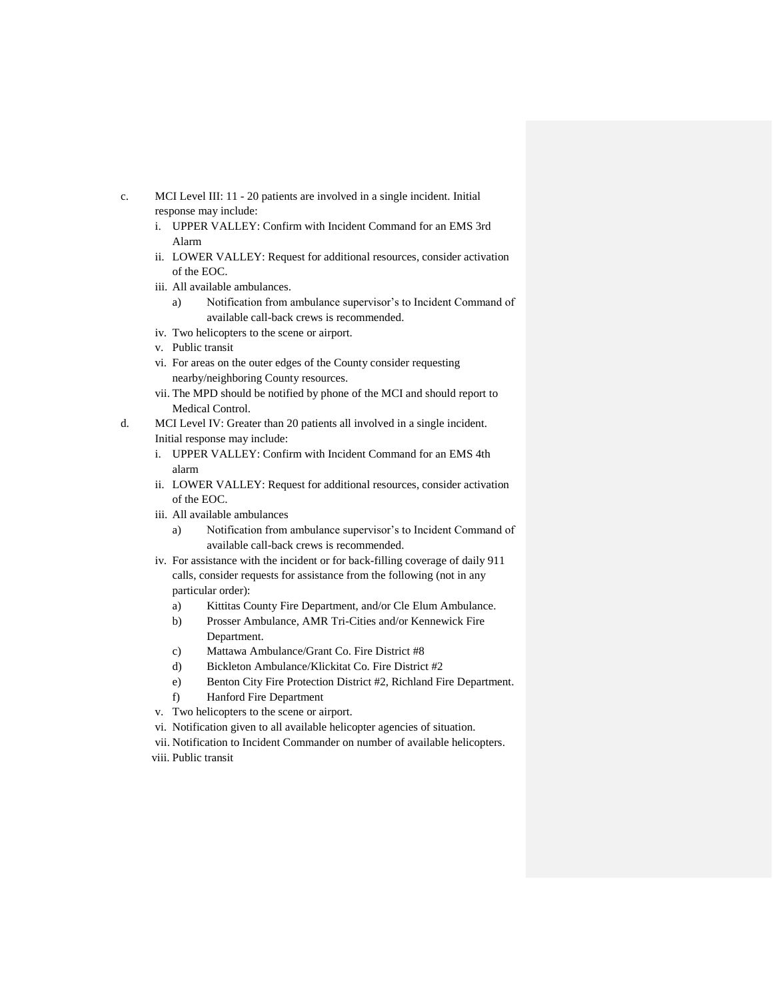- c. MCI Level III: 11 20 patients are involved in a single incident. Initial response may include:
	- i. UPPER VALLEY: Confirm with Incident Command for an EMS 3rd Alarm
	- ii. LOWER VALLEY: Request for additional resources, consider activation of the EOC.
	- iii. All available ambulances.
		- a) Notification from ambulance supervisor's to Incident Command of available call-back crews is recommended.
	- iv. Two helicopters to the scene or airport.
	- v. Public transit
	- vi. For areas on the outer edges of the County consider requesting nearby/neighboring County resources.
	- vii. The MPD should be notified by phone of the MCI and should report to Medical Control.
- d. MCI Level IV: Greater than 20 patients all involved in a single incident. Initial response may include:
	- i. UPPER VALLEY: Confirm with Incident Command for an EMS 4th alarm
	- ii. LOWER VALLEY: Request for additional resources, consider activation of the EOC.
	- iii. All available ambulances
		- a) Notification from ambulance supervisor's to Incident Command of available call-back crews is recommended.
	- iv. For assistance with the incident or for back-filling coverage of daily 911 calls, consider requests for assistance from the following (not in any particular order):
		- a) Kittitas County Fire Department, and/or Cle Elum Ambulance.
		- b) Prosser Ambulance, AMR Tri-Cities and/or Kennewick Fire Department.
		- c) Mattawa Ambulance/Grant Co. Fire District #8
		- d) Bickleton Ambulance/Klickitat Co. Fire District #2
		- e) Benton City Fire Protection District #2, Richland Fire Department.
		- f) Hanford Fire Department
	- v. Two helicopters to the scene or airport.
	- vi. Notification given to all available helicopter agencies of situation.
	- vii. Notification to Incident Commander on number of available helicopters.
	- viii. Public transit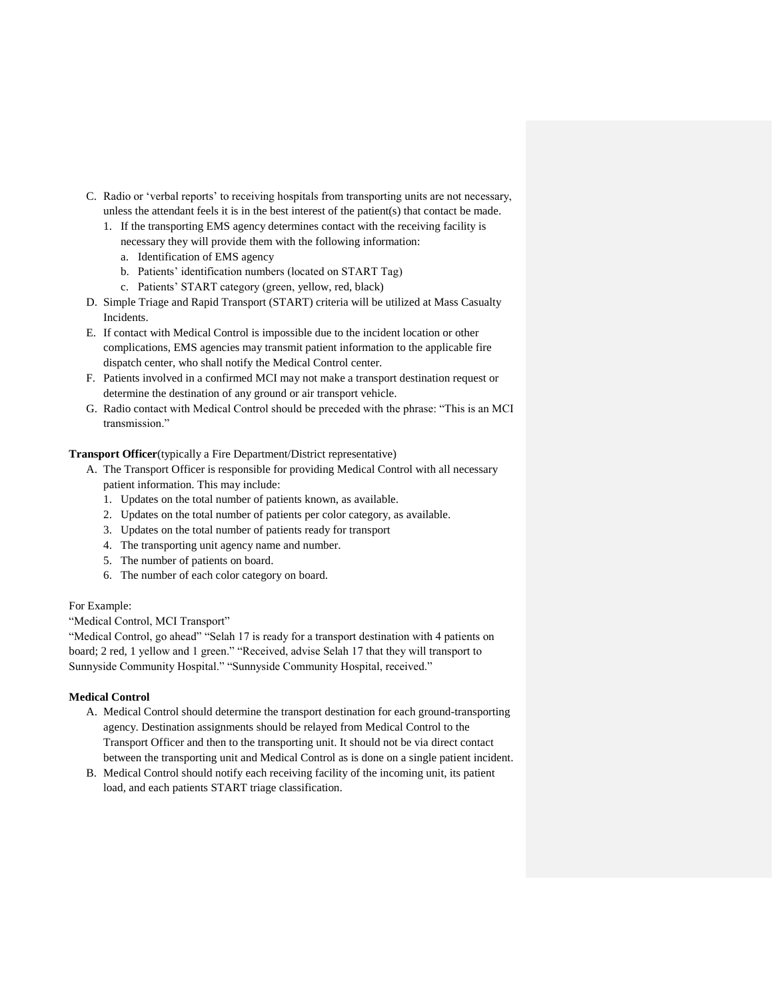- C. Radio or 'verbal reports' to receiving hospitals from transporting units are not necessary, unless the attendant feels it is in the best interest of the patient(s) that contact be made.
	- 1. If the transporting EMS agency determines contact with the receiving facility is necessary they will provide them with the following information:
		- a. Identification of EMS agency
		- b. Patients' identification numbers (located on START Tag)
		- c. Patients' START category (green, yellow, red, black)
- D. Simple Triage and Rapid Transport (START) criteria will be utilized at Mass Casualty Incidents.
- E. If contact with Medical Control is impossible due to the incident location or other complications, EMS agencies may transmit patient information to the applicable fire dispatch center, who shall notify the Medical Control center.
- F. Patients involved in a confirmed MCI may not make a transport destination request or determine the destination of any ground or air transport vehicle.
- G. Radio contact with Medical Control should be preceded with the phrase: "This is an MCI transmission."

## **Transport Officer**(typically a Fire Department/District representative)

- A. The Transport Officer is responsible for providing Medical Control with all necessary patient information. This may include:
	- 1. Updates on the total number of patients known, as available.
	- 2. Updates on the total number of patients per color category, as available.
	- 3. Updates on the total number of patients ready for transport
	- 4. The transporting unit agency name and number.
	- 5. The number of patients on board.
	- 6. The number of each color category on board.

## For Example:

"Medical Control, MCI Transport"

"Medical Control, go ahead" "Selah 17 is ready for a transport destination with 4 patients on board; 2 red, 1 yellow and 1 green." "Received, advise Selah 17 that they will transport to Sunnyside Community Hospital." "Sunnyside Community Hospital, received."

## **Medical Control**

- A. Medical Control should determine the transport destination for each ground-transporting agency. Destination assignments should be relayed from Medical Control to the Transport Officer and then to the transporting unit. It should not be via direct contact between the transporting unit and Medical Control as is done on a single patient incident.
- B. Medical Control should notify each receiving facility of the incoming unit, its patient load, and each patients START triage classification.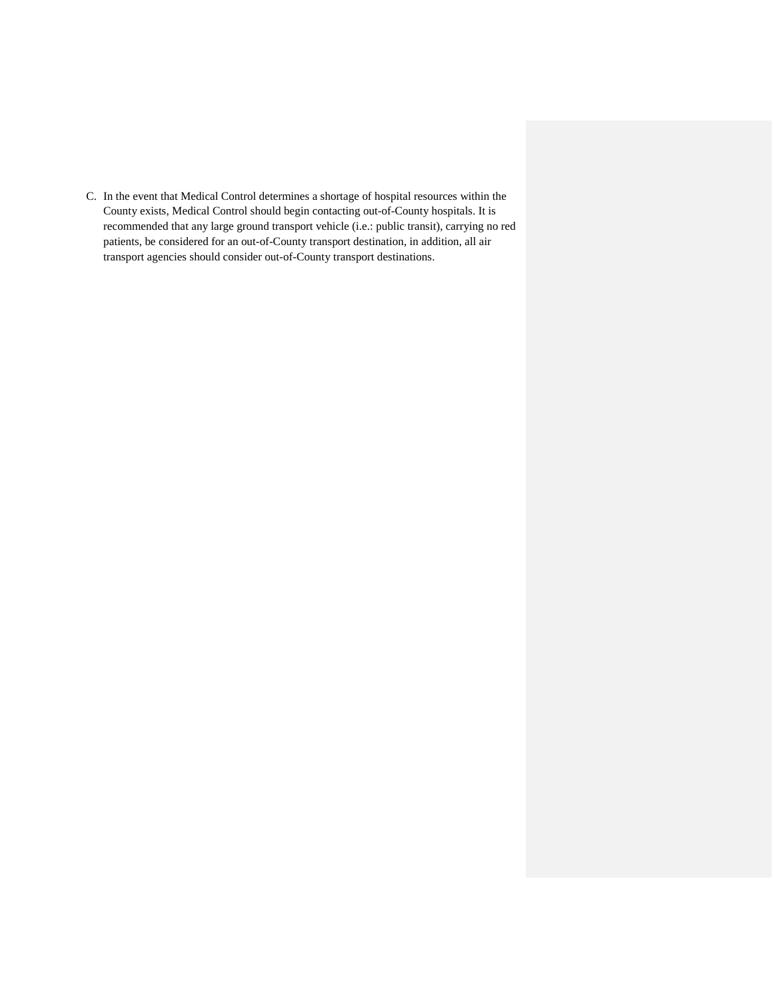C. In the event that Medical Control determines a shortage of hospital resources within the County exists, Medical Control should begin contacting out-of-County hospitals. It is recommended that any large ground transport vehicle (i.e.: public transit), carrying no red patients, be considered for an out-of-County transport destination, in addition, all air transport agencies should consider out-of-County transport destinations.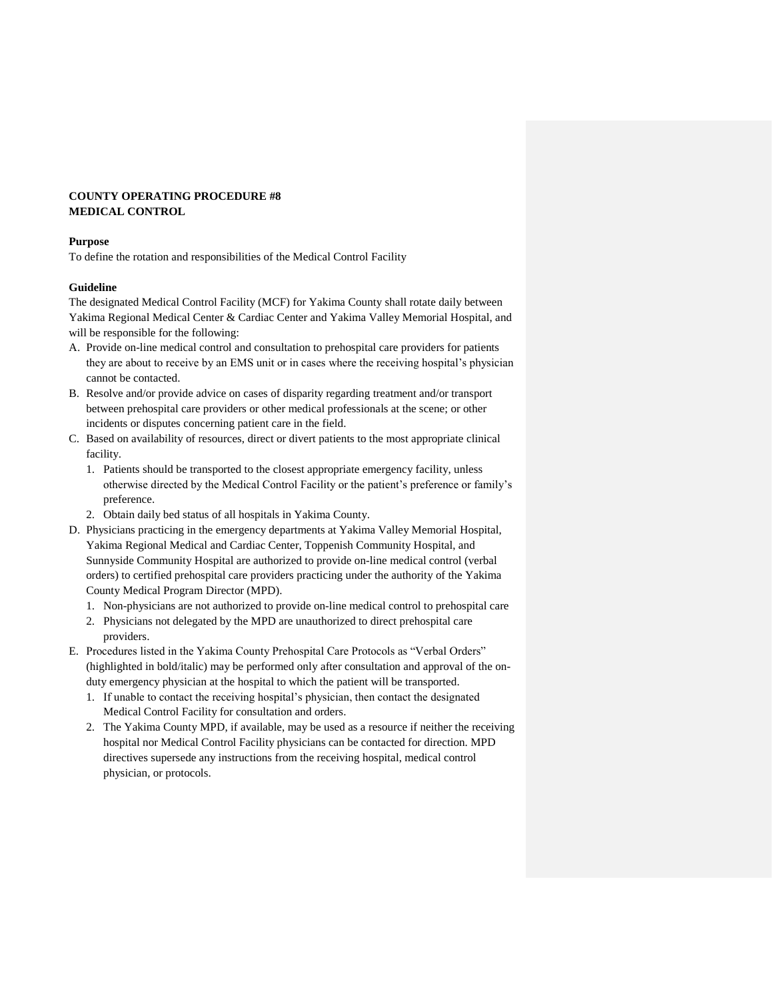## **COUNTY OPERATING PROCEDURE #8 MEDICAL CONTROL**

#### **Purpose**

To define the rotation and responsibilities of the Medical Control Facility

## **Guideline**

The designated Medical Control Facility (MCF) for Yakima County shall rotate daily between Yakima Regional Medical Center & Cardiac Center and Yakima Valley Memorial Hospital, and will be responsible for the following:

- A. Provide on-line medical control and consultation to prehospital care providers for patients they are about to receive by an EMS unit or in cases where the receiving hospital's physician cannot be contacted.
- B. Resolve and/or provide advice on cases of disparity regarding treatment and/or transport between prehospital care providers or other medical professionals at the scene; or other incidents or disputes concerning patient care in the field.
- C. Based on availability of resources, direct or divert patients to the most appropriate clinical facility.
	- 1. Patients should be transported to the closest appropriate emergency facility, unless otherwise directed by the Medical Control Facility or the patient's preference or family's preference.
	- 2. Obtain daily bed status of all hospitals in Yakima County.
- D. Physicians practicing in the emergency departments at Yakima Valley Memorial Hospital, Yakima Regional Medical and Cardiac Center, Toppenish Community Hospital, and Sunnyside Community Hospital are authorized to provide on-line medical control (verbal orders) to certified prehospital care providers practicing under the authority of the Yakima County Medical Program Director (MPD).
	- 1. Non-physicians are not authorized to provide on-line medical control to prehospital care
	- 2. Physicians not delegated by the MPD are unauthorized to direct prehospital care providers.
- E. Procedures listed in the Yakima County Prehospital Care Protocols as "Verbal Orders" (highlighted in bold/italic) may be performed only after consultation and approval of the onduty emergency physician at the hospital to which the patient will be transported.
	- 1. If unable to contact the receiving hospital's physician, then contact the designated Medical Control Facility for consultation and orders.
	- 2. The Yakima County MPD, if available, may be used as a resource if neither the receiving hospital nor Medical Control Facility physicians can be contacted for direction. MPD directives supersede any instructions from the receiving hospital, medical control physician, or protocols.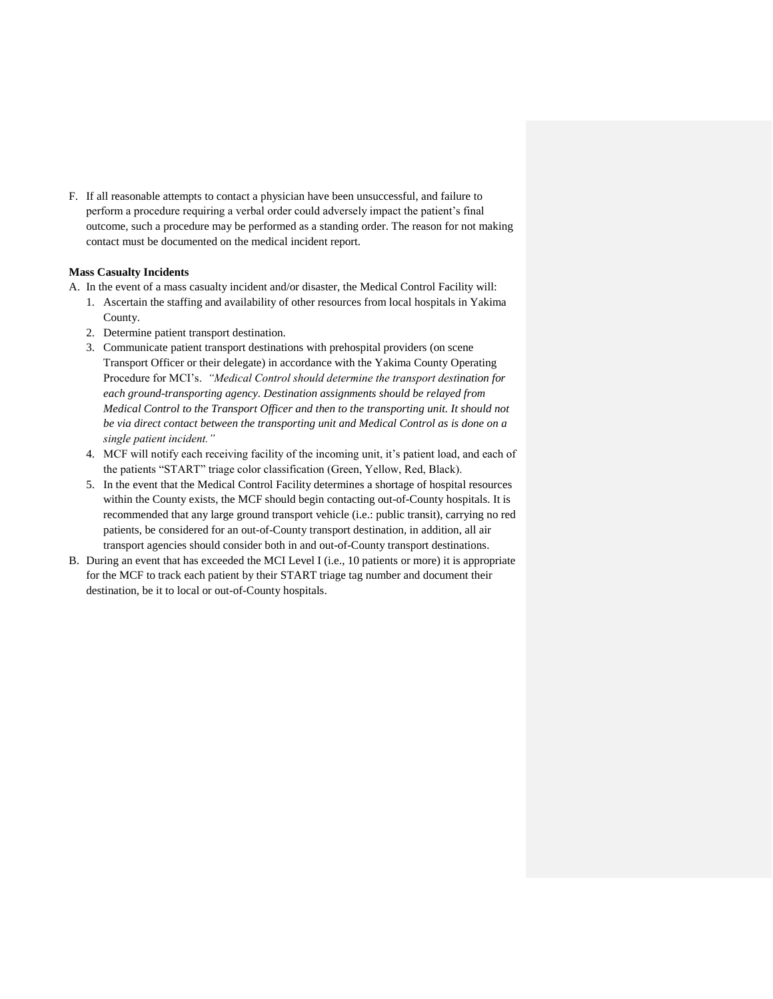F. If all reasonable attempts to contact a physician have been unsuccessful, and failure to perform a procedure requiring a verbal order could adversely impact the patient's final outcome, such a procedure may be performed as a standing order. The reason for not making contact must be documented on the medical incident report.

#### **Mass Casualty Incidents**

A. In the event of a mass casualty incident and/or disaster, the Medical Control Facility will:

- 1. Ascertain the staffing and availability of other resources from local hospitals in Yakima County.
- 2. Determine patient transport destination.
- 3. Communicate patient transport destinations with prehospital providers (on scene Transport Officer or their delegate) in accordance with the Yakima County Operating Procedure for MCI's. *"Medical Control should determine the transport destination for each ground-transporting agency. Destination assignments should be relayed from Medical Control to the Transport Officer and then to the transporting unit. It should not be via direct contact between the transporting unit and Medical Control as is done on a single patient incident."*
- 4. MCF will notify each receiving facility of the incoming unit, it's patient load, and each of the patients "START" triage color classification (Green, Yellow, Red, Black).
- 5. In the event that the Medical Control Facility determines a shortage of hospital resources within the County exists, the MCF should begin contacting out-of-County hospitals. It is recommended that any large ground transport vehicle (i.e.: public transit), carrying no red patients, be considered for an out-of-County transport destination, in addition, all air transport agencies should consider both in and out-of-County transport destinations.
- B. During an event that has exceeded the MCI Level I (i.e., 10 patients or more) it is appropriate for the MCF to track each patient by their START triage tag number and document their destination, be it to local or out-of-County hospitals.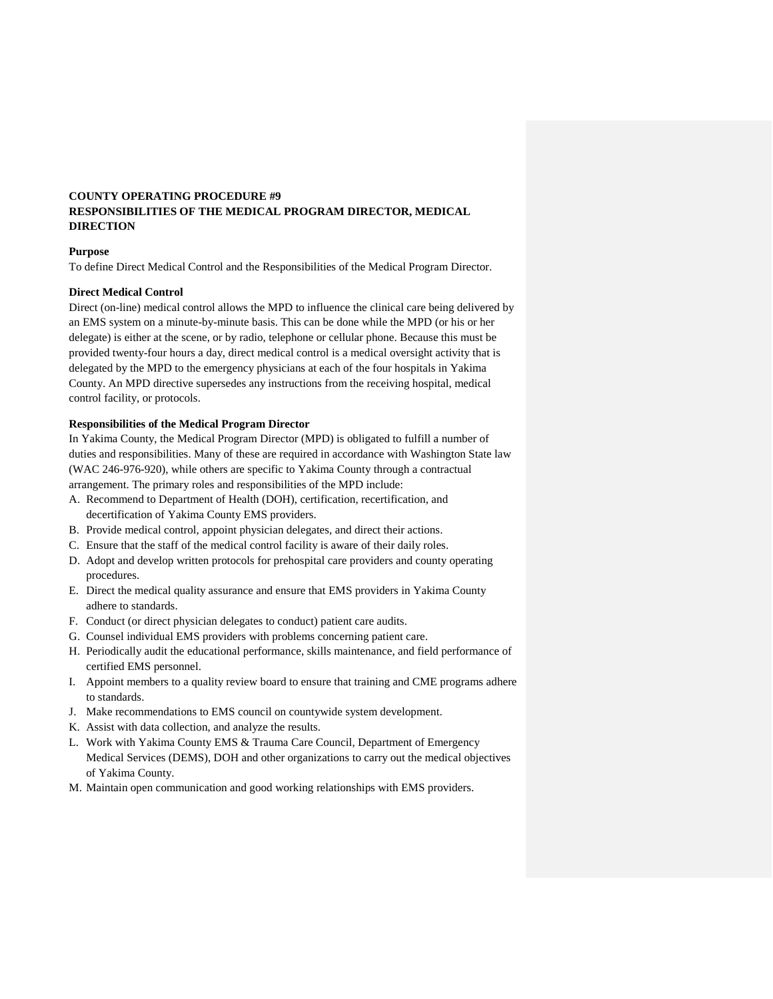## **COUNTY OPERATING PROCEDURE #9 RESPONSIBILITIES OF THE MEDICAL PROGRAM DIRECTOR, MEDICAL DIRECTION**

## **Purpose**

To define Direct Medical Control and the Responsibilities of the Medical Program Director.

#### **Direct Medical Control**

Direct (on-line) medical control allows the MPD to influence the clinical care being delivered by an EMS system on a minute-by-minute basis. This can be done while the MPD (or his or her delegate) is either at the scene, or by radio, telephone or cellular phone. Because this must be provided twenty-four hours a day, direct medical control is a medical oversight activity that is delegated by the MPD to the emergency physicians at each of the four hospitals in Yakima County. An MPD directive supersedes any instructions from the receiving hospital, medical control facility, or protocols.

#### **Responsibilities of the Medical Program Director**

In Yakima County, the Medical Program Director (MPD) is obligated to fulfill a number of duties and responsibilities. Many of these are required in accordance with Washington State law (WAC 246-976-920), while others are specific to Yakima County through a contractual arrangement. The primary roles and responsibilities of the MPD include:

- A. Recommend to Department of Health (DOH), certification, recertification, and decertification of Yakima County EMS providers.
- B. Provide medical control, appoint physician delegates, and direct their actions.
- C. Ensure that the staff of the medical control facility is aware of their daily roles.
- D. Adopt and develop written protocols for prehospital care providers and county operating procedures.
- E. Direct the medical quality assurance and ensure that EMS providers in Yakima County adhere to standards.
- F. Conduct (or direct physician delegates to conduct) patient care audits.
- G. Counsel individual EMS providers with problems concerning patient care.
- H. Periodically audit the educational performance, skills maintenance, and field performance of certified EMS personnel.
- I. Appoint members to a quality review board to ensure that training and CME programs adhere to standards.
- J. Make recommendations to EMS council on countywide system development.
- K. Assist with data collection, and analyze the results.
- L. Work with Yakima County EMS & Trauma Care Council, Department of Emergency Medical Services (DEMS), DOH and other organizations to carry out the medical objectives of Yakima County.
- M. Maintain open communication and good working relationships with EMS providers.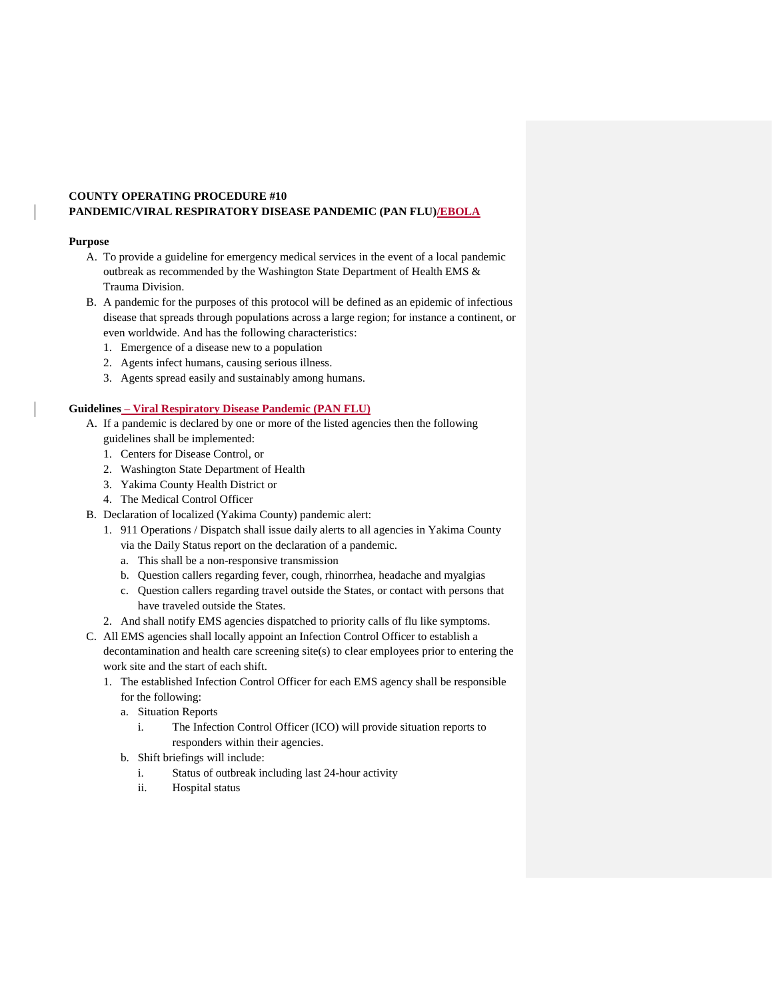## **COUNTY OPERATING PROCEDURE #10 PANDEMIC/VIRAL RESPIRATORY DISEASE PANDEMIC (PAN FLU)/EBOLA**

#### **Purpose**

- A. To provide a guideline for emergency medical services in the event of a local pandemic outbreak as recommended by the Washington State Department of Health EMS & Trauma Division.
- B. A pandemic for the purposes of this protocol will be defined as an epidemic of infectious disease that spreads through populations across a large region; for instance a continent, or even worldwide. And has the following characteristics:
	- 1. Emergence of a disease new to a population
	- 2. Agents infect humans, causing serious illness.
	- 3. Agents spread easily and sustainably among humans.

## **Guidelines – Viral Respiratory Disease Pandemic (PAN FLU)**

- A. If a pandemic is declared by one or more of the listed agencies then the following guidelines shall be implemented:
	- 1. Centers for Disease Control, or
	- 2. Washington State Department of Health
	- 3. Yakima County Health District or
	- 4. The Medical Control Officer
- B. Declaration of localized (Yakima County) pandemic alert:
	- 1. 911 Operations / Dispatch shall issue daily alerts to all agencies in Yakima County via the Daily Status report on the declaration of a pandemic.
		- a. This shall be a non-responsive transmission
		- b. Question callers regarding fever, cough, rhinorrhea, headache and myalgias
		- c. Question callers regarding travel outside the States, or contact with persons that have traveled outside the States.
	- 2. And shall notify EMS agencies dispatched to priority calls of flu like symptoms.
- C. All EMS agencies shall locally appoint an Infection Control Officer to establish a decontamination and health care screening site(s) to clear employees prior to entering the work site and the start of each shift.
	- 1. The established Infection Control Officer for each EMS agency shall be responsible for the following:
		- a. Situation Reports
			- i. The Infection Control Officer (ICO) will provide situation reports to responders within their agencies.
		- b. Shift briefings will include:
			- i. Status of outbreak including last 24-hour activity
			- ii. Hospital status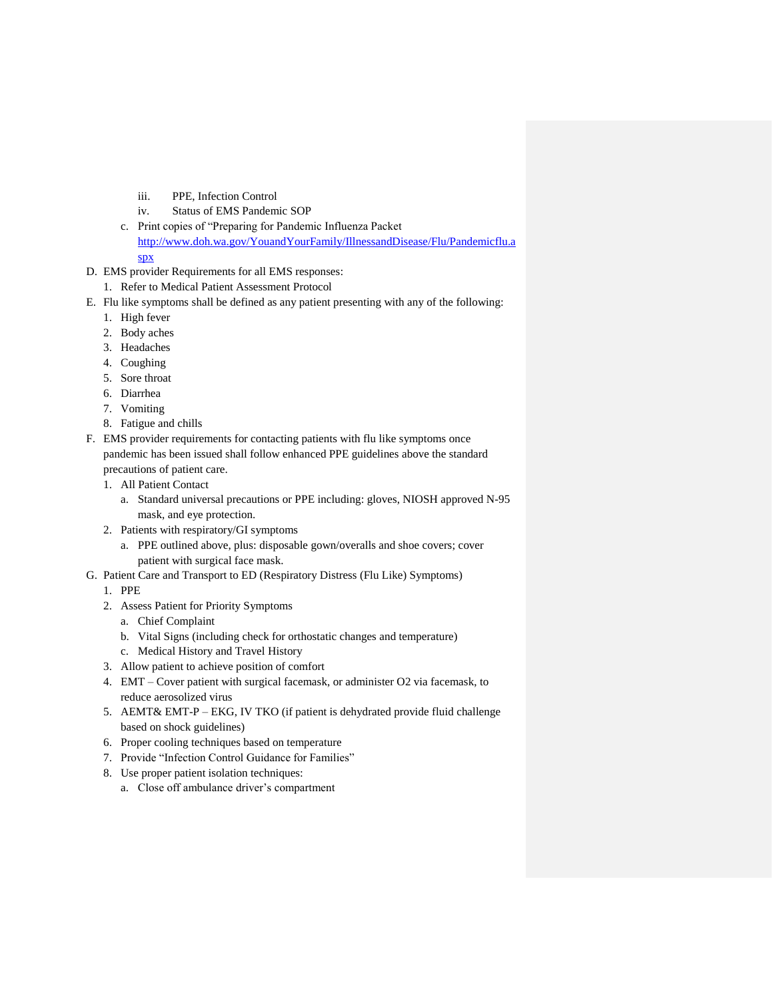- iii. PPE, Infection Control
- iv. Status of EMS Pandemic SOP
- c. Print copies of "Preparing for Pandemic Influenza Packet [http://www.doh.wa.gov/YouandYourFamily/IllnessandDisease/Flu/Pandemicflu.a](http://www.doh.wa.gov/YouandYourFamily/IllnessandDisease/Flu/Pandemicflu.aspx)
	- [spx](http://www.doh.wa.gov/YouandYourFamily/IllnessandDisease/Flu/Pandemicflu.aspx)
- D. EMS provider Requirements for all EMS responses:
	- 1. Refer to Medical Patient Assessment Protocol
- E. Flu like symptoms shall be defined as any patient presenting with any of the following:
	- 1. High fever
	- 2. Body aches
	- 3. Headaches
	- 4. Coughing
	- 5. Sore throat
	- 6. Diarrhea
	- 7. Vomiting
	- 8. Fatigue and chills
- F. EMS provider requirements for contacting patients with flu like symptoms once pandemic has been issued shall follow enhanced PPE guidelines above the standard precautions of patient care.
	- 1. All Patient Contact
		- a. Standard universal precautions or PPE including: gloves, NIOSH approved N-95 mask, and eye protection.
	- 2. Patients with respiratory/GI symptoms
		- a. PPE outlined above, plus: disposable gown/overalls and shoe covers; cover patient with surgical face mask.
- G. Patient Care and Transport to ED (Respiratory Distress (Flu Like) Symptoms)
	- 1. PPE
	- 2. Assess Patient for Priority Symptoms
		- a. Chief Complaint
		- b. Vital Signs (including check for orthostatic changes and temperature)
		- c. Medical History and Travel History
	- 3. Allow patient to achieve position of comfort
	- 4. EMT Cover patient with surgical facemask, or administer O2 via facemask, to reduce aerosolized virus
	- 5. AEMT& EMT-P EKG, IV TKO (if patient is dehydrated provide fluid challenge based on shock guidelines)
	- 6. Proper cooling techniques based on temperature
	- 7. Provide "Infection Control Guidance for Families"
	- 8. Use proper patient isolation techniques:
		- a. Close off ambulance driver's compartment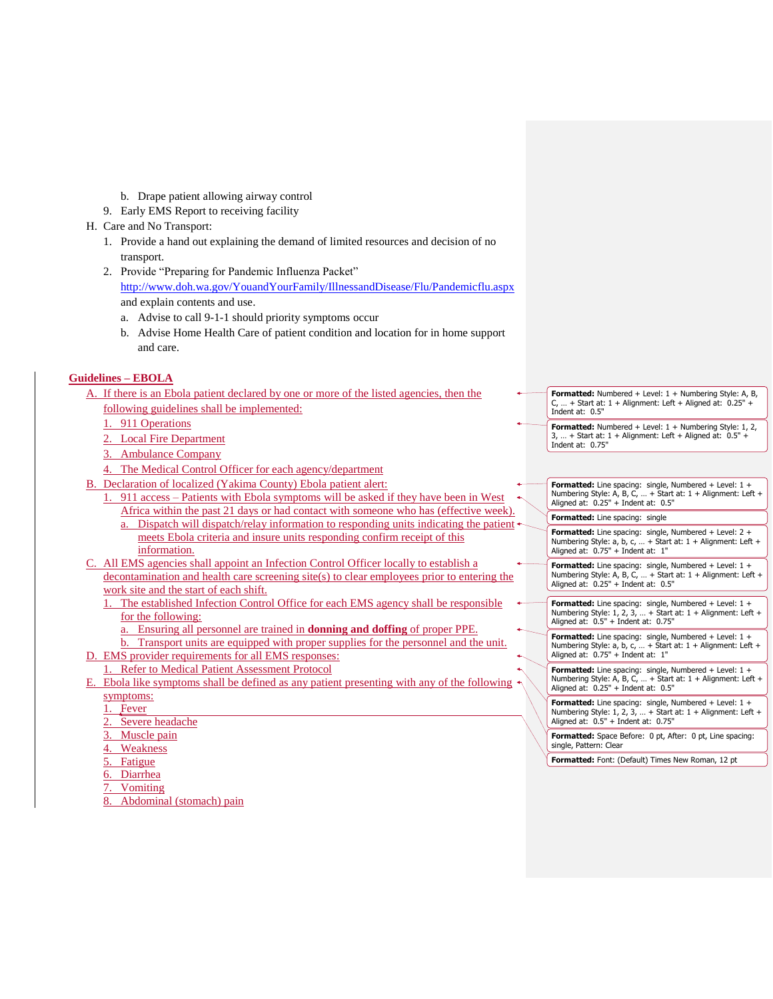- b. Drape patient allowing airway control
- 9. Early EMS Report to receiving facility
- H. Care and No Transport:
	- 1. Provide a hand out explaining the demand of limited resources and decision of no transport.
	- 2. Provide "Preparing for Pandemic Influenza Packet" <http://www.doh.wa.gov/YouandYourFamily/IllnessandDisease/Flu/Pandemicflu.aspx> and explain contents and use.
		- a. Advise to call 9-1-1 should priority symptoms occur
		- b. Advise Home Health Care of patient condition and location for in home support and care.

## **Guidelines – EBOLA**

| A. If there is an Ebola patient declared by one or more of the listed agencies, then the |  |  |  |  |  |
|------------------------------------------------------------------------------------------|--|--|--|--|--|
| following guidelines shall be implemented:                                               |  |  |  |  |  |

- 911 Operations
- 2. Local Fire Department
- 3. Ambulance Company
- 4. The Medical Control Officer for each agency/department
- B. Declaration of localized (Yakima County) Ebola patient alert:
	- 1. 911 access Patients with Ebola symptoms will be asked if they have been in West Africa within the past 21 days or had contact with someone who has (effective week).
		- a. Dispatch will dispatch/relay information to responding units indicating the patient meets Ebola criteria and insure units responding confirm receipt of this information.
- C. All EMS agencies shall appoint an Infection Control Officer locally to establish a decontamination and health care screening site(s) to clear employees prior to entering the work site and the start of each shift.
	- The established Infection Control Office for each EMS agency shall be responsible for the following:
		- a. Ensuring all personnel are trained in **donning and doffing** of proper PPE.
- b. Transport units are equipped with proper supplies for the personnel and the unit. D. EMS provider requirements for all EMS responses:
	- 1. Refer to Medical Patient Assessment Protocol
- E. Ebola like symptoms shall be defined as any patient presenting with any of the following symptoms:
	- 1. Fever
	- 2. Severe headache
	- 3. Muscle pain
	- 4. Weakness
	- 5. Fatigue
	- 6. Diarrhea
	- **Vomiting**
	- 8. Abdominal (stomach) pain
- **Formatted:** Numbered + Level: 1 + Numbering Style: A, B, C, ... + Start at:  $1 +$  Alignment: Left + Aligned at:  $0.25$ " Indent at: 0.5"
- **Formatted:** Numbered + Level: 1 + Numbering Style: 1, 2, 3, ... + Start at:  $1 +$  Alignment: Left + Aligned at:  $0.5" +$ Indent at: 0.75"
- **Formatted:** Line spacing: single, Numbered + Level: 1 + Numbering Style: A, B, C, … + Start at: 1 + Alignment: Left + Aligned at: 0.25" + Indent at: 0.5" **Formatted:** Line spacing: single

**Formatted:** Line spacing: single, Numbered + Level: 2 + Numbering Style: a, b, c, … + Start at: 1 + Alignment: Left + Aligned at: 0.75" + Indent at: 1"

**Formatted:** Line spacing: single, Numbered + Level: 1 + Numbering Style: A, B, C, … + Start at: 1 + Alignment: Left + Aligned at: 0.25" + Indent at: 0.5"

**Formatted:** Line spacing: single, Numbered + Level: 1 + Numbering Style: 1, 2, 3, … + Start at: 1 + Alignment: Left + Aligned at: 0.5" + Indent at: 0.75"

**Formatted:** Line spacing: single, Numbered + Level: 1 + Numbering Style: a, b, c, … + Start at: 1 + Alignment: Left + Aligned at: 0.75" + Indent at: 1"

**Formatted:** Line spacing: single, Numbered + Level: 1 + Numbering Style: A, B, C, … + Start at: 1 + Alignment: Left + Aligned at: 0.25" + Indent at: 0.5"

**Formatted:** Line spacing: single, Numbered + Level: 1 + Numbering Style: 1, 2, 3, … + Start at: 1 + Alignment: Left + Aligned at: 0.5" + Indent at: 0.75"

**Formatted:** Space Before: 0 pt, After: 0 pt, Line spacing: single, Pattern: Clear

**Formatted:** Font: (Default) Times New Roman, 12 pt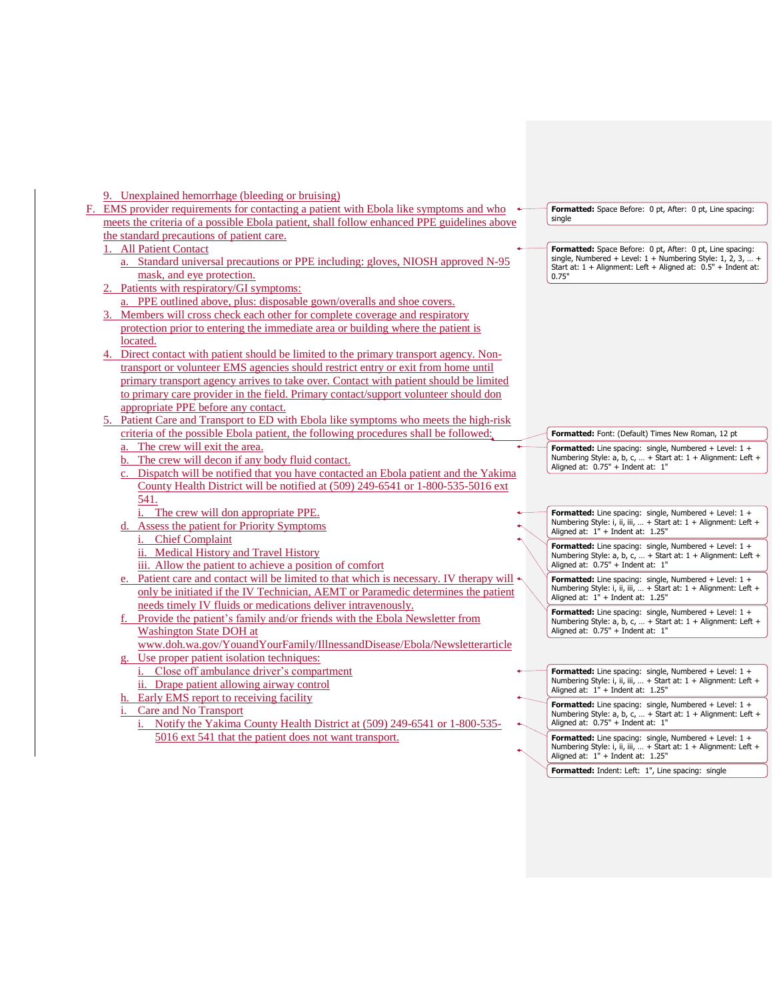## 9. Unexplained hemorrhage (bleeding or bruising)

|  | $\mu$ and $\mu$ and $\mu$ and $\mu$ and $\mu$ and $\mu$                                                                                                                           |                                                                                                                                   |
|--|-----------------------------------------------------------------------------------------------------------------------------------------------------------------------------------|-----------------------------------------------------------------------------------------------------------------------------------|
|  | EMS provider requirements for contacting a patient with Ebola like symptoms and who<br>meets the criteria of a possible Ebola patient, shall follow enhanced PPE guidelines above | Formatted: Space Before: 0 pt, After: 0 pt, Line spacing:<br>single                                                               |
|  | the standard precautions of patient care.                                                                                                                                         |                                                                                                                                   |
|  | 1. All Patient Contact                                                                                                                                                            | Formatted: Space Before: 0 pt, After: 0 pt, Line spacing:                                                                         |
|  | a. Standard universal precautions or PPE including: gloves, NIOSH approved N-95                                                                                                   | single, Numbered + Level: $1 +$ Numbering Style: 1, 2, 3,  +<br>Start at: $1 +$ Alignment: Left + Aligned at: $0.5"$ + Indent at: |
|  | mask, and eye protection.                                                                                                                                                         | 0.75"                                                                                                                             |
|  | 2. Patients with respiratory/GI symptoms:                                                                                                                                         |                                                                                                                                   |
|  | a. PPE outlined above, plus: disposable gown/overalls and shoe covers.                                                                                                            |                                                                                                                                   |
|  | 3. Members will cross check each other for complete coverage and respiratory                                                                                                      |                                                                                                                                   |
|  | protection prior to entering the immediate area or building where the patient is                                                                                                  |                                                                                                                                   |
|  | located.                                                                                                                                                                          |                                                                                                                                   |
|  | Direct contact with patient should be limited to the primary transport agency. Non-                                                                                               |                                                                                                                                   |
|  | transport or volunteer EMS agencies should restrict entry or exit from home until                                                                                                 |                                                                                                                                   |
|  | primary transport agency arrives to take over. Contact with patient should be limited                                                                                             |                                                                                                                                   |
|  | to primary care provider in the field. Primary contact/support volunteer should don                                                                                               |                                                                                                                                   |
|  | appropriate PPE before any contact.                                                                                                                                               |                                                                                                                                   |
|  | Patient Care and Transport to ED with Ebola like symptoms who meets the high-risk                                                                                                 |                                                                                                                                   |
|  | criteria of the possible Ebola patient, the following procedures shall be followed:                                                                                               | Formatted: Font: (Default) Times New Roman, 12 pt                                                                                 |
|  | a. The crew will exit the area.                                                                                                                                                   | Formatted: Line spacing: single, Numbered + Level: $1 +$                                                                          |
|  | b. The crew will decon if any body fluid contact.                                                                                                                                 | Numbering Style: a, b, c,  + Start at: 1 + Alignment: Left +<br>Aligned at: 0.75" + Indent at: 1"                                 |
|  | c. Dispatch will be notified that you have contacted an Ebola patient and the Yakima                                                                                              |                                                                                                                                   |
|  | County Health District will be notified at (509) 249-6541 or 1-800-535-5016 ext                                                                                                   |                                                                                                                                   |
|  | 541.                                                                                                                                                                              |                                                                                                                                   |
|  | The crew will don appropriate PPE.                                                                                                                                                | Formatted: Line spacing: single, Numbered + Level: $1 +$                                                                          |
|  | Assess the patient for Priority Symptoms                                                                                                                                          | Numbering Style: i, ii, iii,  + Start at: 1 + Alignment: Left +<br>Aligned at: 1" + Indent at: 1.25"                              |
|  | <b>Chief Complaint</b><br>i.                                                                                                                                                      | Formatted: Line spacing: single, Numbered + Level: $1 +$                                                                          |
|  | ii. Medical History and Travel History                                                                                                                                            | Numbering Style: a, b, c,  + Start at: 1 + Alignment: Left +                                                                      |
|  | iii. Allow the patient to achieve a position of comfort                                                                                                                           | Aligned at: 0.75" + Indent at: 1"                                                                                                 |
|  | e. Patient care and contact will be limited to that which is necessary. IV therapy will                                                                                           | <b>Formatted:</b> Line spacing: single, Numbered + Level: $1 +$                                                                   |
|  | only be initiated if the IV Technician, AEMT or Paramedic determines the patient                                                                                                  | Numbering Style: i, ii, iii,  + Start at: 1 + Alignment: Left +<br>Aligned at: 1" + Indent at: 1.25"                              |
|  | needs timely IV fluids or medications deliver intravenously.                                                                                                                      | Formatted: Line spacing: single, Numbered + Level: $1 +$                                                                          |
|  | f. Provide the patient's family and/or friends with the Ebola Newsletter from                                                                                                     | Numbering Style: a, b, c,  + Start at: 1 + Alignment: Left +                                                                      |
|  | <b>Washington State DOH</b> at                                                                                                                                                    | Aligned at: 0.75" + Indent at: 1"                                                                                                 |
|  | www.doh.wa.gov/YouandYourFamily/IllnessandDisease/Ebola/Newsletterarticle                                                                                                         |                                                                                                                                   |
|  | g. Use proper patient isolation techniques:                                                                                                                                       |                                                                                                                                   |
|  | i. Close off ambulance driver's compartment                                                                                                                                       | Formatted: Line spacing: single, Numbered + Level: $1 +$<br>Numbering Style: i, ii, iii,  + Start at: 1 + Alignment: Left +       |
|  | ii. Drape patient allowing airway control                                                                                                                                         | Aligned at: 1" + Indent at: 1.25"                                                                                                 |
|  | h. Early EMS report to receiving facility                                                                                                                                         | Formatted: Line spacing: single, Numbered + Level: $1 +$                                                                          |
|  | Care and No Transport                                                                                                                                                             | Numbering Style: a, b, c,  + Start at: 1 + Alignment: Left +                                                                      |
|  | Notify the Yakima County Health District at (509) 249-6541 or 1-800-535-<br>i.                                                                                                    | Aligned at: 0.75" + Indent at: 1"                                                                                                 |
|  | 5016 ext 541 that the patient does not want transport.                                                                                                                            | Formatted: Line spacing: single, Numbered + Level: $1 +$<br>Numbering Style: i, ii, iii,  + Start at: 1 + Alignment: Left +       |
|  |                                                                                                                                                                                   | Aligned at: 1" + Indent at: 1.25"                                                                                                 |
|  |                                                                                                                                                                                   |                                                                                                                                   |

**Formatted:** Indent: Left: 1", Line spacing: single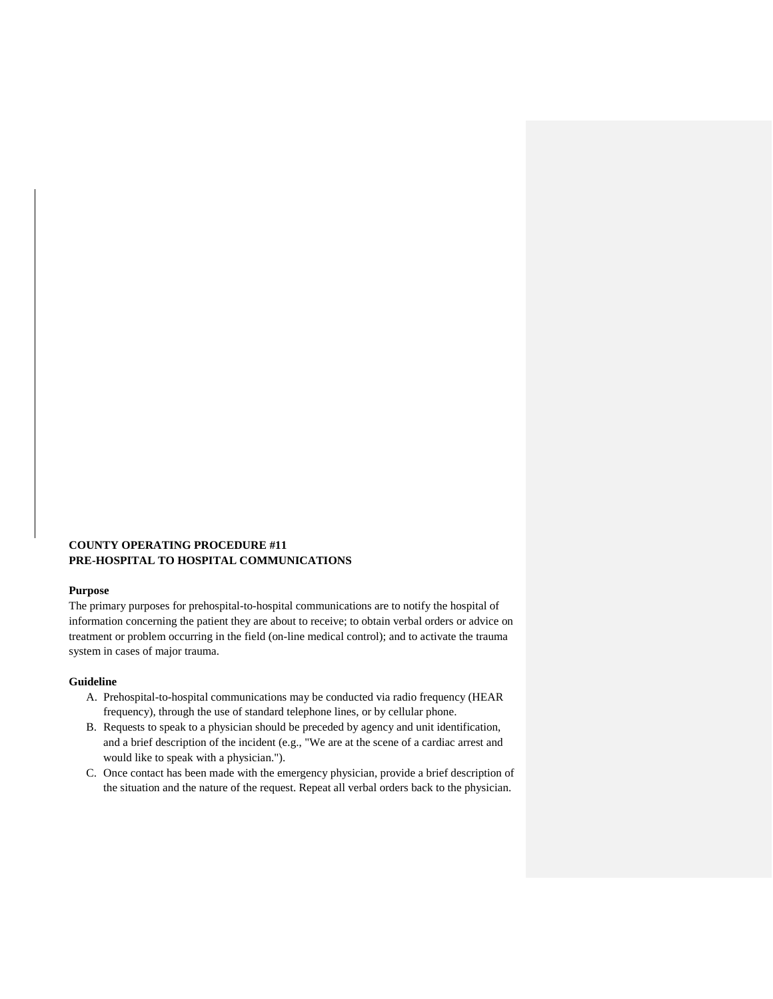## **COUNTY OPERATING PROCEDURE #11 PRE-HOSPITAL TO HOSPITAL COMMUNICATIONS**

#### **Purpose**

The primary purposes for prehospital-to-hospital communications are to notify the hospital of information concerning the patient they are about to receive; to obtain verbal orders or advice on treatment or problem occurring in the field (on-line medical control); and to activate the trauma system in cases of major trauma.

#### **Guideline**

- A. Prehospital-to-hospital communications may be conducted via radio frequency (HEAR frequency), through the use of standard telephone lines, or by cellular phone.
- B. Requests to speak to a physician should be preceded by agency and unit identification, and a brief description of the incident (e.g., "We are at the scene of a cardiac arrest and would like to speak with a physician.").
- C. Once contact has been made with the emergency physician, provide a brief description of the situation and the nature of the request. Repeat all verbal orders back to the physician.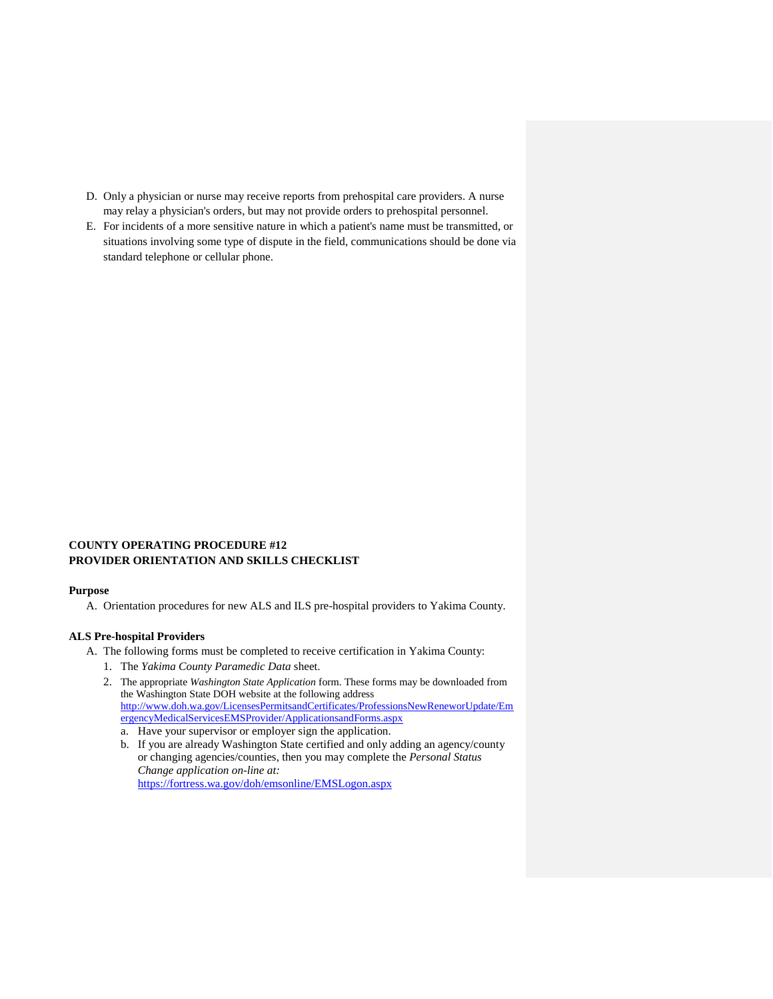- D. Only a physician or nurse may receive reports from prehospital care providers. A nurse may relay a physician's orders, but may not provide orders to prehospital personnel.
- E. For incidents of a more sensitive nature in which a patient's name must be transmitted, or situations involving some type of dispute in the field, communications should be done via standard telephone or cellular phone.

## **COUNTY OPERATING PROCEDURE #12 PROVIDER ORIENTATION AND SKILLS CHECKLIST**

#### **Purpose**

A. Orientation procedures for new ALS and ILS pre-hospital providers to Yakima County.

## **ALS Pre-hospital Providers**

- A. The following forms must be completed to receive certification in Yakima County:
	- 1. The *Yakima County Paramedic Data* sheet.
	- 2. The appropriate *Washington State Application* form. These forms may be downloaded from the Washington State DOH website at the following address http://www.doh.wa.gov/LicensesPermitsandCertificates/ProfessionsNewReneworUpdate/Em ergencyMedicalServicesEMSProvider/ApplicationsandForms.aspx
		- a. Have your supervisor or employer sign the application.
		- b. If you are already Washington State certified and only adding an agency/county or changing agencies/counties, then you may complete the *Personal Status Change application on-line at:* <https://fortress.wa.gov/doh/emsonline/EMSLogon.aspx>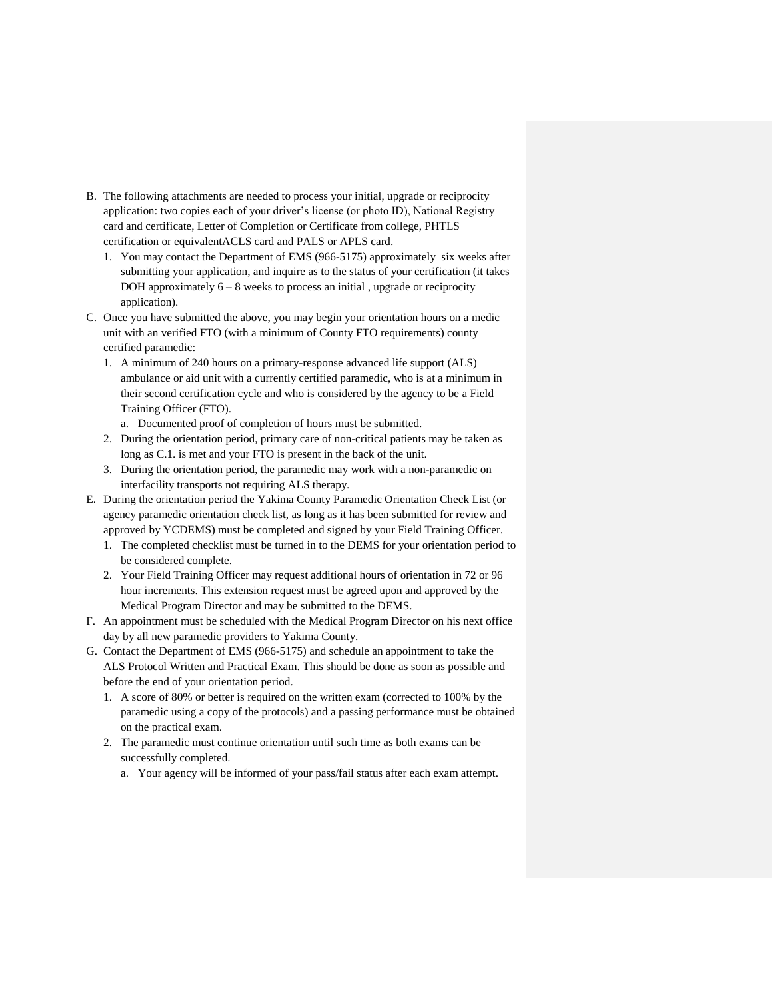- B. The following attachments are needed to process your initial, upgrade or reciprocity application: two copies each of your driver's license (or photo ID), National Registry card and certificate, Letter of Completion or Certificate from college, PHTLS certification or equivalentACLS card and PALS or APLS card.
	- 1. You may contact the Department of EMS (966-5175) approximately six weeks after submitting your application, and inquire as to the status of your certification (it takes DOH approximately  $6 - 8$  weeks to process an initial, upgrade or reciprocity application).
- C. Once you have submitted the above, you may begin your orientation hours on a medic unit with an verified FTO (with a minimum of County FTO requirements) county certified paramedic:
	- 1. A minimum of 240 hours on a primary-response advanced life support (ALS) ambulance or aid unit with a currently certified paramedic, who is at a minimum in their second certification cycle and who is considered by the agency to be a Field Training Officer (FTO).
		- a. Documented proof of completion of hours must be submitted.
	- 2. During the orientation period, primary care of non-critical patients may be taken as long as C.1. is met and your FTO is present in the back of the unit.
	- 3. During the orientation period, the paramedic may work with a non-paramedic on interfacility transports not requiring ALS therapy.
- E. During the orientation period the Yakima County Paramedic Orientation Check List (or agency paramedic orientation check list, as long as it has been submitted for review and approved by YCDEMS) must be completed and signed by your Field Training Officer.
	- 1. The completed checklist must be turned in to the DEMS for your orientation period to be considered complete.
	- 2. Your Field Training Officer may request additional hours of orientation in 72 or 96 hour increments. This extension request must be agreed upon and approved by the Medical Program Director and may be submitted to the DEMS.
- F. An appointment must be scheduled with the Medical Program Director on his next office day by all new paramedic providers to Yakima County.
- G. Contact the Department of EMS (966-5175) and schedule an appointment to take the ALS Protocol Written and Practical Exam. This should be done as soon as possible and before the end of your orientation period.
	- 1. A score of 80% or better is required on the written exam (corrected to 100% by the paramedic using a copy of the protocols) and a passing performance must be obtained on the practical exam.
	- 2. The paramedic must continue orientation until such time as both exams can be successfully completed.
		- a. Your agency will be informed of your pass/fail status after each exam attempt.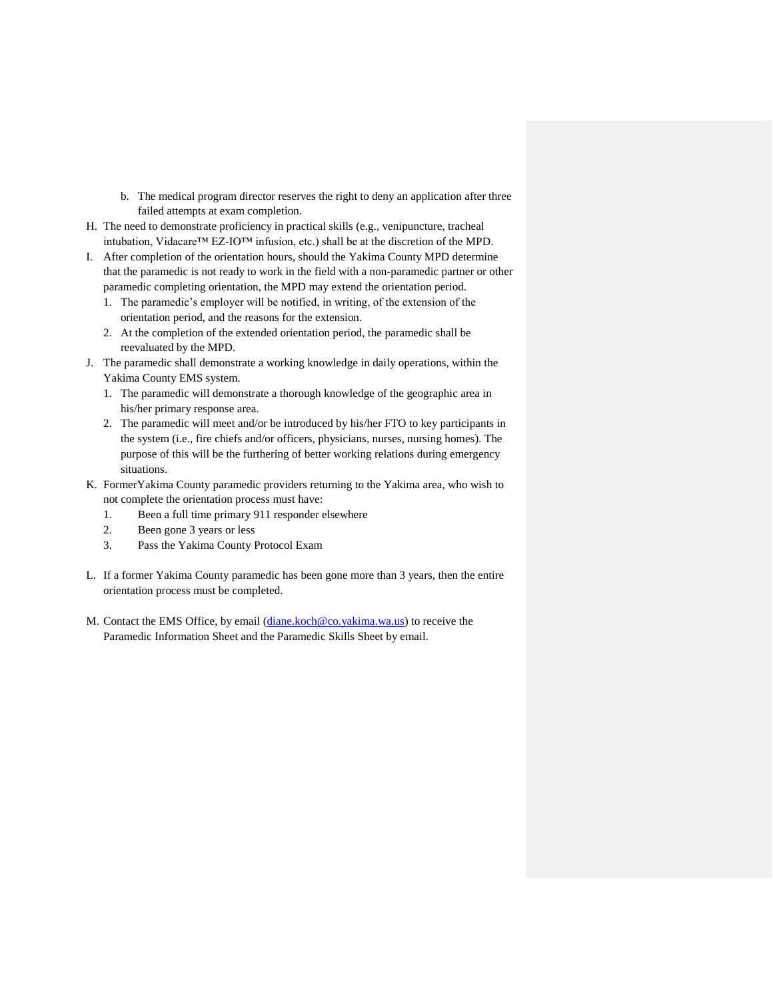- b. The medical program director reserves the right to deny an application after three failed attempts at exam completion.
- H. The need to demonstrate proficiency in practical skills (e.g., venipuncture, tracheal intubation, Vidacare™ EZ-IO™ infusion, etc.) shall be at the discretion of the MPD.
- I. After completion of the orientation hours, should the Yakima County MPD determine that the paramedic is not ready to work in the field with a non-paramedic partner or other paramedic completing orientation, the MPD may extend the orientation period.
	- 1. The paramedic's employer will be notified, in writing, of the extension of the orientation period, and the reasons for the extension.
	- 2. At the completion of the extended orientation period, the paramedic shall be reevaluated by the MPD.
- J. The paramedic shall demonstrate a working knowledge in daily operations, within the Yakima County EMS system.
	- 1. The paramedic will demonstrate a thorough knowledge of the geographic area in his/her primary response area.
	- 2. The paramedic will meet and/or be introduced by his/her FTO to key participants in the system (i.e., fire chiefs and/or officers, physicians, nurses, nursing homes). The purpose of this will be the furthering of better working relations during emergency situations.
- K. FormerYakima County paramedic providers returning to the Yakima area, who wish to not complete the orientation process must have:
	- 1. Been a full time primary 911 responder elsewhere
	- 2. Been gone 3 years or less
	- 3. Pass the Yakima County Protocol Exam
- L. If a former Yakima County paramedic has been gone more than 3 years, then the entire orientation process must be completed.
- M. Contact the EMS Office, by email [\(diane.koch@co.yakima.wa.us\)](mailto:diane.koch@co.yakima.wa.us) to receive the Paramedic Information Sheet and the Paramedic Skills Sheet by email.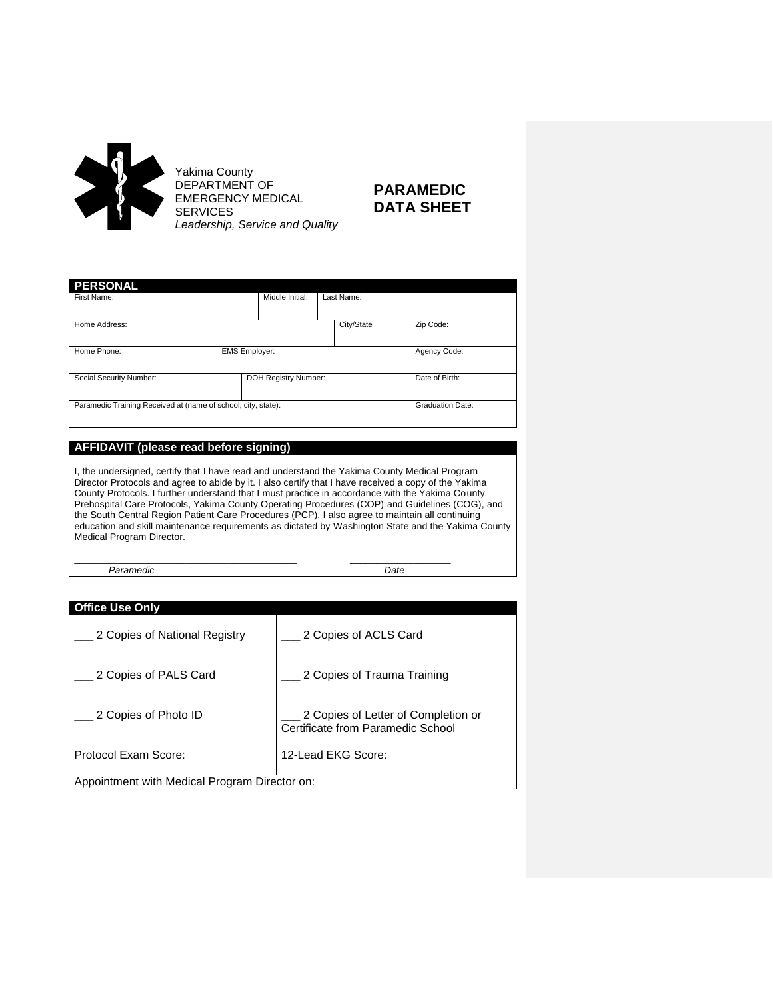

# **PARAMEDIC DATA SHEET**

| <b>PERSONAL</b>                                               |                      |                 |            |                         |
|---------------------------------------------------------------|----------------------|-----------------|------------|-------------------------|
| First Name:                                                   |                      | Middle Initial: | Last Name: |                         |
|                                                               |                      |                 |            |                         |
| Home Address:                                                 |                      |                 | City/State | Zip Code:               |
|                                                               |                      |                 |            |                         |
| Home Phone:                                                   | <b>EMS Employer:</b> |                 |            | Agency Code:            |
|                                                               |                      |                 |            |                         |
| Social Security Number:                                       | DOH Registry Number: |                 |            | Date of Birth:          |
|                                                               |                      |                 |            |                         |
| Paramedic Training Received at (name of school, city, state): |                      |                 |            | <b>Graduation Date:</b> |
|                                                               |                      |                 |            |                         |

## **AFFIDAVIT (please read before signing)**

I, the undersigned, certify that I have read and understand the Yakima County Medical Program Director Protocols and agree to abide by it. I also certify that I have received a copy of the Yakima County Protocols. I further understand that I must practice in accordance with the Yakima County Prehospital Care Protocols, Yakima County Operating Procedures (COP) and Guidelines (COG), and the South Central Region Patient Care Procedures (PCP). I also agree to maintain all continuing education and skill maintenance requirements as dictated by Washington State and the Yakima County Medical Program Director.

\_\_\_\_\_\_\_\_\_\_\_\_\_\_\_\_\_\_\_\_\_\_\_\_\_\_\_\_\_\_\_\_\_\_\_\_\_\_\_\_\_\_ \_\_\_\_\_\_\_\_\_\_\_\_\_\_\_\_\_\_\_ *Paramedic Date*

| <b>Office Use Only</b>                        |                                                                          |
|-----------------------------------------------|--------------------------------------------------------------------------|
| 2 Copies of National Registry                 | 2 Copies of ACLS Card                                                    |
| 2 Copies of PALS Card                         | 2 Copies of Trauma Training                                              |
| 2 Copies of Photo ID                          | 2 Copies of Letter of Completion or<br>Certificate from Paramedic School |
| Protocol Exam Score:                          | 12-Lead EKG Score:                                                       |
| Appointment with Medical Program Director on: |                                                                          |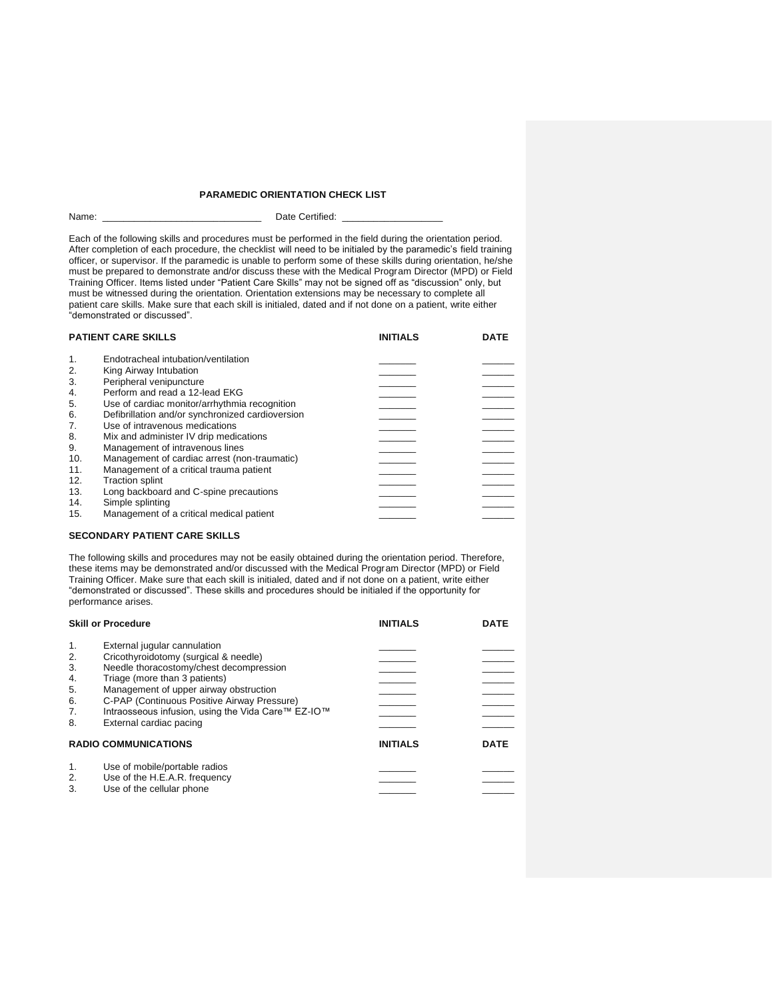#### **PARAMEDIC ORIENTATION CHECK LIST**

Name: \_\_\_\_\_\_\_\_\_\_\_\_\_\_\_\_\_\_\_\_\_\_\_\_\_\_\_\_\_\_ Date Certified: \_\_\_\_\_\_\_\_\_\_\_\_\_\_\_\_\_\_\_

Each of the following skills and procedures must be performed in the field during the orientation period. After completion of each procedure, the checklist will need to be initialed by the paramedic's field training officer, or supervisor. If the paramedic is unable to perform some of these skills during orientation, he/she must be prepared to demonstrate and/or discuss these with the Medical Program Director (MPD) or Field Training Officer. Items listed under "Patient Care Skills" may not be signed off as "discussion" only, but must be witnessed during the orientation. Orientation extensions may be necessary to complete all patient care skills. Make sure that each skill is initialed, dated and if not done on a patient, write either "demonstrated or discussed".

|                | <b>PATIENT CARE SKILLS</b>                       | <b>INITIALS</b> | <b>DATE</b> |
|----------------|--------------------------------------------------|-----------------|-------------|
| $\mathbf{1}$ . | Endotracheal intubation/ventilation              |                 |             |
| 2.             | King Airway Intubation                           |                 |             |
| 3.             | Peripheral venipuncture                          |                 |             |
| 4.             | Perform and read a 12-lead EKG                   |                 |             |
| 5.             | Use of cardiac monitor/arrhythmia recognition    |                 |             |
| 6.             | Defibrillation and/or synchronized cardioversion |                 |             |
| 7.             | Use of intravenous medications                   |                 |             |
| 8.             | Mix and administer IV drip medications           |                 |             |
| 9.             | Management of intravenous lines                  |                 |             |
| 10.            | Management of cardiac arrest (non-traumatic)     |                 |             |
| 11.            | Management of a critical trauma patient          |                 |             |
| 12.            | <b>Traction splint</b>                           |                 |             |
| 13.            | Long backboard and C-spine precautions           |                 |             |
| 14.            | Simple splinting                                 |                 |             |
| 15.            | Management of a critical medical patient         |                 |             |

#### **SECONDARY PATIENT CARE SKILLS**

The following skills and procedures may not be easily obtained during the orientation period. Therefore, these items may be demonstrated and/or discussed with the Medical Program Director (MPD) or Field Training Officer. Make sure that each skill is initialed, dated and if not done on a patient, write either "demonstrated or discussed". These skills and procedures should be initialed if the opportunity for performance arises.

|                                  | <b>Skill or Procedure</b>                                                                                                                                              | <b>INITIALS</b> | <b>DATE</b> |
|----------------------------------|------------------------------------------------------------------------------------------------------------------------------------------------------------------------|-----------------|-------------|
| $\mathbf{1}$ .<br>2.<br>3.<br>4. | External jugular cannulation<br>Cricothyroidotomy (surgical & needle)<br>Needle thoracostomy/chest decompression<br>Triage (more than 3 patients)                      |                 |             |
| 5.<br>6.<br>7.<br>8.             | Management of upper airway obstruction<br>C-PAP (Continuous Positive Airway Pressure)<br>Intraosseous infusion, using the Vida Care™ EZ-IO™<br>External cardiac pacing |                 |             |
|                                  | <b>RADIO COMMUNICATIONS</b>                                                                                                                                            | <b>INITIALS</b> | <b>DATE</b> |
| 1.<br>2.<br>3.                   | Use of mobile/portable radios<br>Use of the H.E.A.R. frequency<br>Use of the cellular phone                                                                            |                 |             |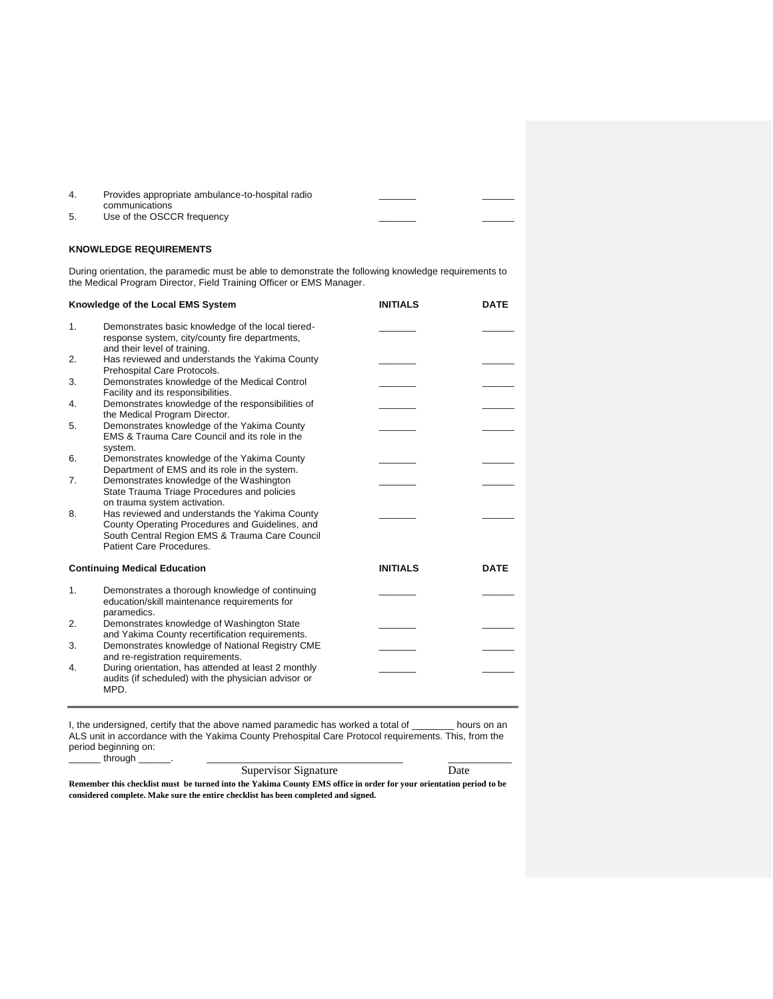|    | Provides appropriate ambulance-to-hospital radio |  |
|----|--------------------------------------------------|--|
| 5. | communications<br>Use of the OSCCR frequency     |  |
|    |                                                  |  |

#### **KNOWLEDGE REQUIREMENTS**

During orientation, the paramedic must be able to demonstrate the following knowledge requirements to the Medical Program Director, Field Training Officer or EMS Manager.

|    | Knowledge of the Local EMS System                                                                                                                                               | <b>INITIALS</b> | <b>DATE</b> |
|----|---------------------------------------------------------------------------------------------------------------------------------------------------------------------------------|-----------------|-------------|
| 1. | Demonstrates basic knowledge of the local tiered-<br>response system, city/county fire departments,<br>and their level of training.                                             |                 |             |
| 2. | Has reviewed and understands the Yakima County<br>Prehospital Care Protocols.                                                                                                   |                 |             |
| 3. | Demonstrates knowledge of the Medical Control<br>Facility and its responsibilities.                                                                                             |                 |             |
| 4. | Demonstrates knowledge of the responsibilities of<br>the Medical Program Director.                                                                                              |                 |             |
| 5. | Demonstrates knowledge of the Yakima County<br>EMS & Trauma Care Council and its role in the<br>system.                                                                         |                 |             |
| 6. | Demonstrates knowledge of the Yakima County<br>Department of EMS and its role in the system.                                                                                    |                 |             |
| 7. | Demonstrates knowledge of the Washington<br>State Trauma Triage Procedures and policies<br>on trauma system activation.                                                         |                 |             |
| 8. | Has reviewed and understands the Yakima County<br>County Operating Procedures and Guidelines, and<br>South Central Region EMS & Trauma Care Council<br>Patient Care Procedures. |                 |             |
|    | <b>Continuing Medical Education</b>                                                                                                                                             | <b>INITIALS</b> | <b>DATE</b> |
| 1. | Demonstrates a thorough knowledge of continuing<br>education/skill maintenance requirements for<br>paramedics.                                                                  |                 |             |
| 2. | Demonstrates knowledge of Washington State<br>and Yakima County recertification requirements.                                                                                   |                 |             |
| 3. | Demonstrates knowledge of National Registry CME<br>and re-registration requirements.                                                                                            |                 |             |
| 4. | During orientation, has attended at least 2 monthly<br>audits (if scheduled) with the physician advisor or<br>MPD.                                                              |                 |             |

I, the undersigned, certify that the above named paramedic has worked a total of \_\_\_\_\_\_\_\_ hours on an ALS unit in accordance with the Yakima County Prehospital Care Protocol requirements. This, from the period beginning on:

\_\_\_\_\_\_ through \_\_\_\_\_\_. \_\_\_\_\_\_\_\_\_\_\_\_\_\_\_\_\_\_\_\_\_\_\_\_\_\_\_\_\_\_\_\_\_\_\_\_\_ \_\_\_\_\_\_\_\_\_\_\_\_ Supervisor Signature

**Remember this checklist must be turned into the Yakima County EMS office in order for your orientation period to be considered complete. Make sure the entire checklist has been completed and signed.**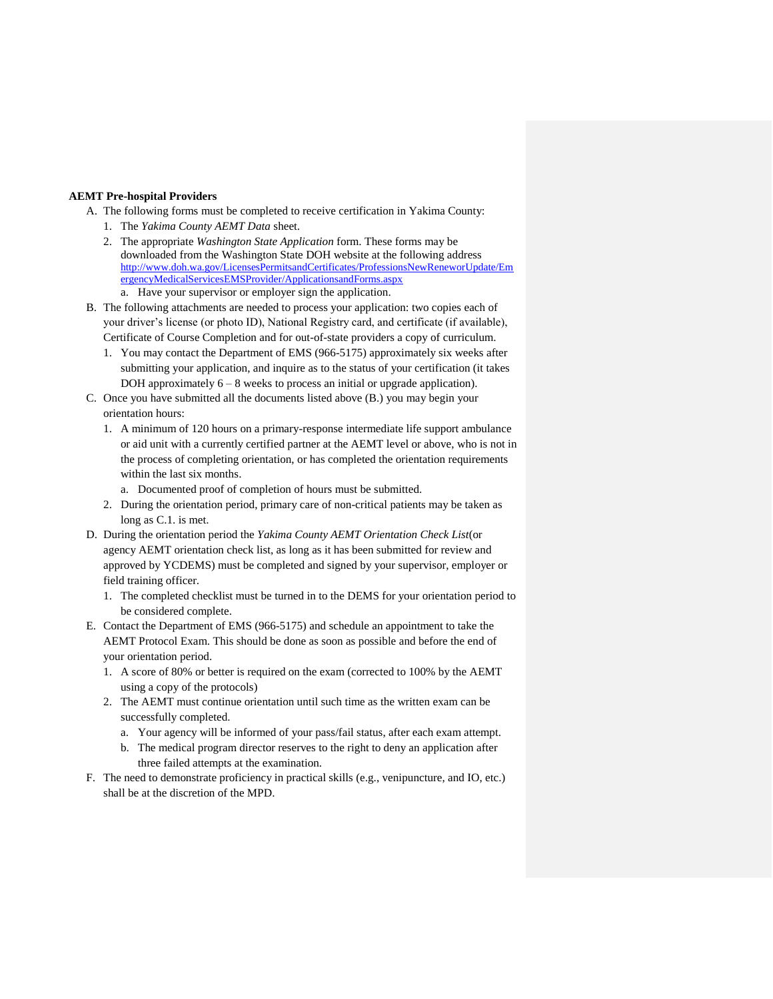#### **AEMT Pre-hospital Providers**

- A. The following forms must be completed to receive certification in Yakima County:
	- 1. The *Yakima County AEMT Data* sheet.
	- 2. The appropriate *Washington State Application* form. These forms may be downloaded from the Washington State DOH website at the following address http://www.doh.wa.gov/LicensesPermitsandCertificates/ProfessionsNewReneworUpdate/Em ergencyMedicalServicesEMSProvider/ApplicationsandForms.aspx a. Have your supervisor or employer sign the application.
- B. The following attachments are needed to process your application: two copies each of your driver's license (or photo ID), National Registry card, and certificate (if available), Certificate of Course Completion and for out-of-state providers a copy of curriculum.
	- 1. You may contact the Department of EMS (966-5175) approximately six weeks after submitting your application, and inquire as to the status of your certification (it takes DOH approximately  $6 - 8$  weeks to process an initial or upgrade application).
- C. Once you have submitted all the documents listed above (B.) you may begin your orientation hours:
	- 1. A minimum of 120 hours on a primary-response intermediate life support ambulance or aid unit with a currently certified partner at the AEMT level or above, who is not in the process of completing orientation, or has completed the orientation requirements within the last six months.
		- a. Documented proof of completion of hours must be submitted.
	- 2. During the orientation period, primary care of non-critical patients may be taken as long as C.1. is met.
- D. During the orientation period the *Yakima County AEMT Orientation Check List*(or agency AEMT orientation check list, as long as it has been submitted for review and approved by YCDEMS) must be completed and signed by your supervisor, employer or field training officer.
	- 1. The completed checklist must be turned in to the DEMS for your orientation period to be considered complete.
- E. Contact the Department of EMS (966-5175) and schedule an appointment to take the AEMT Protocol Exam. This should be done as soon as possible and before the end of your orientation period.
	- 1. A score of 80% or better is required on the exam (corrected to 100% by the AEMT using a copy of the protocols)
	- 2. The AEMT must continue orientation until such time as the written exam can be successfully completed.
		- a. Your agency will be informed of your pass/fail status, after each exam attempt.
		- b. The medical program director reserves to the right to deny an application after three failed attempts at the examination.
- F. The need to demonstrate proficiency in practical skills (e.g., venipuncture, and IO, etc.) shall be at the discretion of the MPD.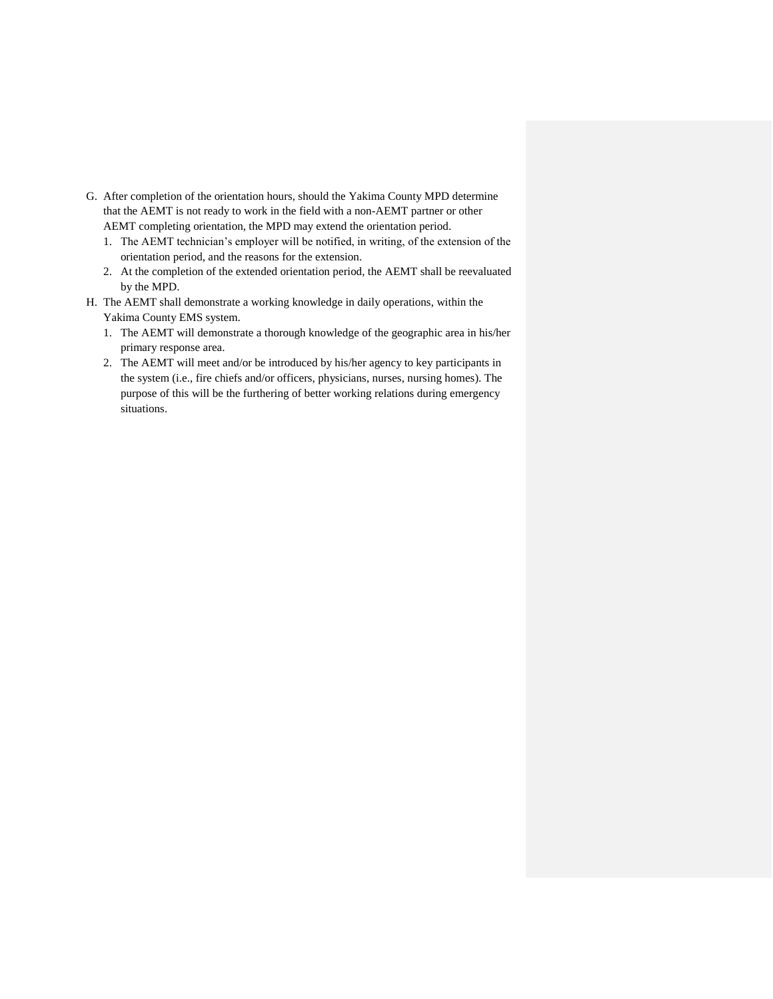- G. After completion of the orientation hours, should the Yakima County MPD determine that the AEMT is not ready to work in the field with a non-AEMT partner or other AEMT completing orientation, the MPD may extend the orientation period.
	- 1. The AEMT technician's employer will be notified, in writing, of the extension of the orientation period, and the reasons for the extension.
	- 2. At the completion of the extended orientation period, the AEMT shall be reevaluated by the MPD.
- H. The AEMT shall demonstrate a working knowledge in daily operations, within the Yakima County EMS system.
	- 1. The AEMT will demonstrate a thorough knowledge of the geographic area in his/her primary response area.
	- 2. The AEMT will meet and/or be introduced by his/her agency to key participants in the system (i.e., fire chiefs and/or officers, physicians, nurses, nursing homes). The purpose of this will be the furthering of better working relations during emergency situations.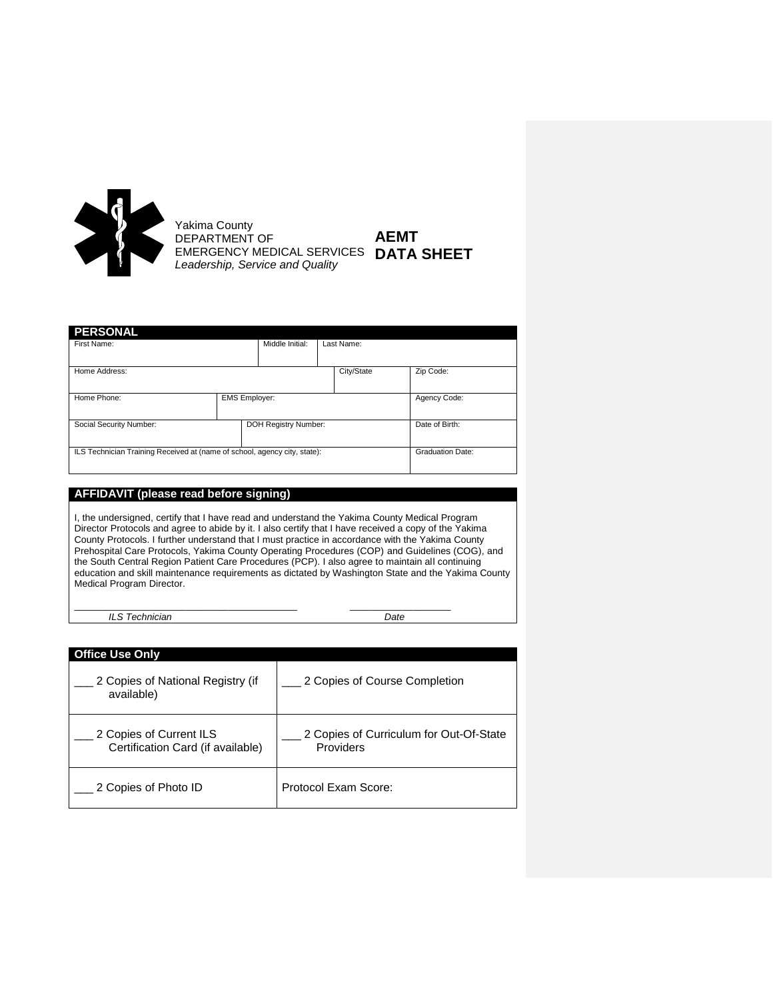

Yakima County DEPARTMENT OF EMERGENCY MEDICAL SERVICES *Leadership, Service and Quality* **AEMT DATA SHEET**

| <b>PERSONAL</b>                                                           |                      |                 |                |              |                         |
|---------------------------------------------------------------------------|----------------------|-----------------|----------------|--------------|-------------------------|
| First Name:                                                               |                      | Middle Initial: |                | Last Name:   |                         |
| Home Address:                                                             |                      |                 |                | City/State   | Zip Code:               |
| Home Phone:                                                               | <b>EMS Employer:</b> |                 |                | Agency Code: |                         |
| DOH Registry Number:<br>Social Security Number:                           |                      |                 | Date of Birth: |              |                         |
| ILS Technician Training Received at (name of school, agency city, state): |                      |                 |                |              | <b>Graduation Date:</b> |

## **AFFIDAVIT (please read before signing)**

I, the undersigned, certify that I have read and understand the Yakima County Medical Program Director Protocols and agree to abide by it. I also certify that I have received a copy of the Yakima County Protocols. I further understand that I must practice in accordance with the Yakima County Prehospital Care Protocols, Yakima County Operating Procedures (COP) and Guidelines (COG), and the South Central Region Patient Care Procedures (PCP). I also agree to maintain all continuing education and skill maintenance requirements as dictated by Washington State and the Yakima County Medical Program Director.

*ILS Technician Date*

\_\_\_\_\_\_\_\_\_\_\_\_\_\_\_\_\_\_\_\_\_\_\_\_\_\_\_\_\_\_\_\_\_\_\_\_\_\_\_\_\_\_ \_\_\_\_\_\_\_\_\_\_\_\_\_\_\_\_\_\_\_

| <b>Office Use Only</b>                                       |                                                      |
|--------------------------------------------------------------|------------------------------------------------------|
| 2 Copies of National Registry (if<br>available)              | 2 Copies of Course Completion                        |
| 2 Copies of Current ILS<br>Certification Card (if available) | 2 Copies of Curriculum for Out-Of-State<br>Providers |
| 2 Copies of Photo ID                                         | Protocol Exam Score:                                 |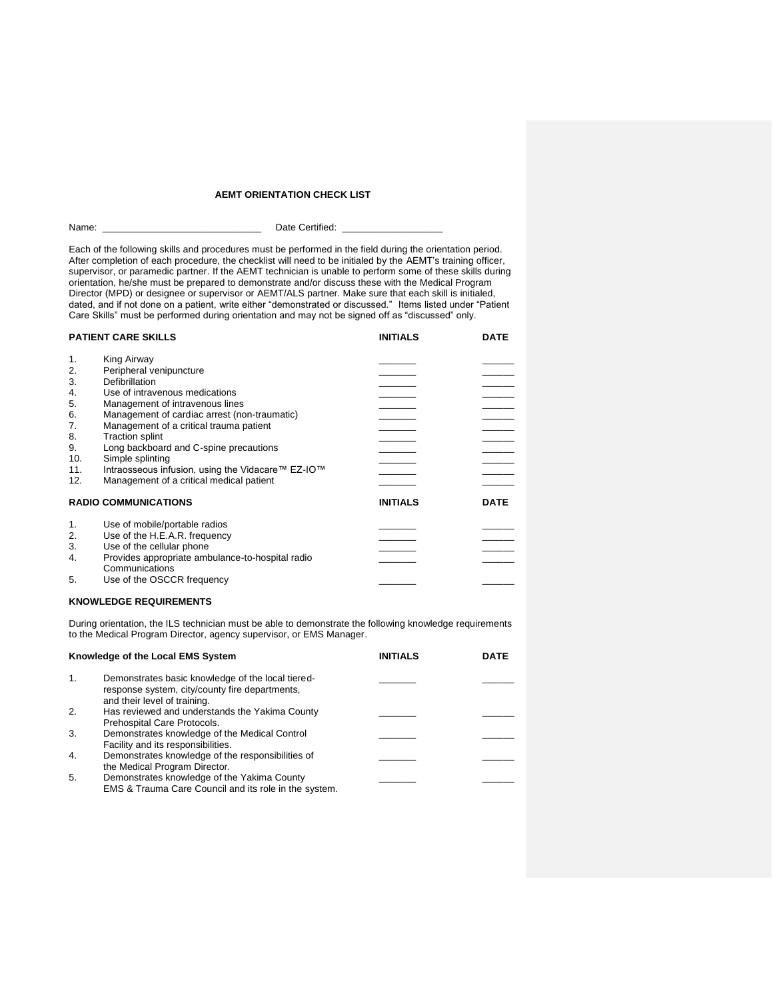#### **AEMT ORIENTATION CHECK LIST**

|  | Name: |  |
|--|-------|--|
|  |       |  |

Date Certified:

Each of the following skills and procedures must be performed in the field during the orientation period. After completion of each procedure, the checklist will need to be initialed by the AEMT's training officer, supervisor, or paramedic partner. If the AEMT technician is unable to perform some of these skills during supervisor, or paramedic partner. If the AEMT technician is unable to perform some of these skills during orientation, he/she must be prepared to demonstrate and/or discuss these with the Medical Program Director (MPD) or designee or supervisor or AEMT/ALS partner. Make sure that each skill is initialed, dated, and if not done on a patient, write either "demonstrated or discussed." Items listed under "Patient Care Skills" must be performed during orientation and may not be signed off as "discussed" only.

| <b>PATIENT CARE SKILLS</b>                   |                                                                                                                                                                                                                                                    | <b>INITIALS</b> | <b>DATE</b> |
|----------------------------------------------|----------------------------------------------------------------------------------------------------------------------------------------------------------------------------------------------------------------------------------------------------|-----------------|-------------|
| 1.<br>2.<br>3.<br>4.<br>5.<br>6.<br>7.<br>8. | King Airway<br>Peripheral venipuncture<br>Defibrillation<br>Use of intravenous medications<br>Management of intravenous lines<br>Management of cardiac arrest (non-traumatic)<br>Management of a critical trauma patient<br><b>Traction splint</b> |                 | $\sim$      |
| 9.<br>10.<br>11.<br>12.                      | Long backboard and C-spine precautions<br>Simple splinting<br>Intraosseous infusion, using the Vidacare™ EZ-IO™<br>Management of a critical medical patient                                                                                        |                 |             |
|                                              | <b>RADIO COMMUNICATIONS</b>                                                                                                                                                                                                                        | <b>INITIALS</b> | <b>DATE</b> |
| 1.<br>2.<br>3.<br>4.                         | Use of mobile/portable radios<br>Use of the H.E.A.R. frequency<br>Use of the cellular phone<br>Provides appropriate ambulance-to-hospital radio<br>Communications                                                                                  |                 |             |
| 5.                                           | Use of the OSCCR frequency                                                                                                                                                                                                                         |                 |             |

#### **KNOWLEDGE REQUIREMENTS**

During orientation, the ILS technician must be able to demonstrate the following knowledge requirements to the Medical Program Director, agency supervisor, or EMS Manager.

| Knowledge of the Local EMS System |                                                                                                                                     | <b>INITIALS</b> | <b>DATE</b> |
|-----------------------------------|-------------------------------------------------------------------------------------------------------------------------------------|-----------------|-------------|
| 1.                                | Demonstrates basic knowledge of the local tiered-<br>response system, city/county fire departments,<br>and their level of training. |                 |             |
| 2.                                | Has reviewed and understands the Yakima County<br>Prehospital Care Protocols.                                                       |                 |             |
| 3.                                | Demonstrates knowledge of the Medical Control<br>Facility and its responsibilities.                                                 |                 |             |
| 4.                                | Demonstrates knowledge of the responsibilities of<br>the Medical Program Director.                                                  |                 |             |
| 5.                                | Demonstrates knowledge of the Yakima County<br>EMS & Trauma Care Council and its role in the system.                                |                 |             |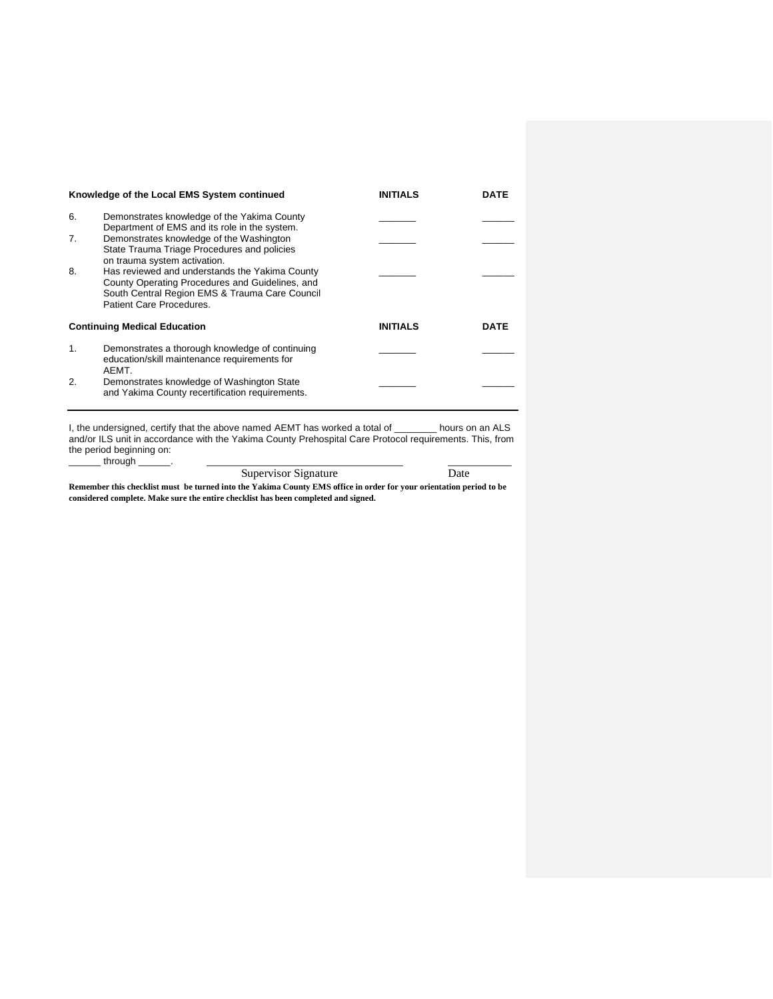|                | Knowledge of the Local EMS System continued                                                                                                                                                                     | <b>INITIALS</b> | DATE        |
|----------------|-----------------------------------------------------------------------------------------------------------------------------------------------------------------------------------------------------------------|-----------------|-------------|
| 6.             | Demonstrates knowledge of the Yakima County<br>Department of EMS and its role in the system.                                                                                                                    |                 |             |
| 7 <sub>1</sub> | Demonstrates knowledge of the Washington<br>State Trauma Triage Procedures and policies                                                                                                                         |                 |             |
| 8.             | on trauma system activation.<br>Has reviewed and understands the Yakima County<br>County Operating Procedures and Guidelines, and<br>South Central Region EMS & Trauma Care Council<br>Patient Care Procedures. |                 |             |
|                | <b>Continuing Medical Education</b>                                                                                                                                                                             | <b>INITIALS</b> | <b>DATE</b> |
| 1.             | Demonstrates a thorough knowledge of continuing<br>education/skill maintenance requirements for<br>AFMT.                                                                                                        |                 |             |
| 2.             | Demonstrates knowledge of Washington State<br>and Yakima County recertification requirements.                                                                                                                   |                 |             |

I, the undersigned, certify that the above named AEMT has worked a total of \_\_\_\_\_\_\_\_ hours on an ALS and/or ILS unit in accordance with the Yakima County Prehospital Care Protocol requirements. This, from the period beginning on: \_\_\_\_\_\_ through \_\_\_\_\_\_. \_\_\_\_\_\_\_\_\_\_\_\_\_\_\_\_\_\_\_\_\_\_\_\_\_\_\_\_\_\_\_\_\_\_\_\_\_ \_\_\_\_\_\_\_\_\_\_\_\_

| Supervisor Signature | Date |
|----------------------|------|
|----------------------|------|

**Remember this checklist must be turned into the Yakima County EMS office in order for your orientation period to be considered complete. Make sure the entire checklist has been completed and signed.**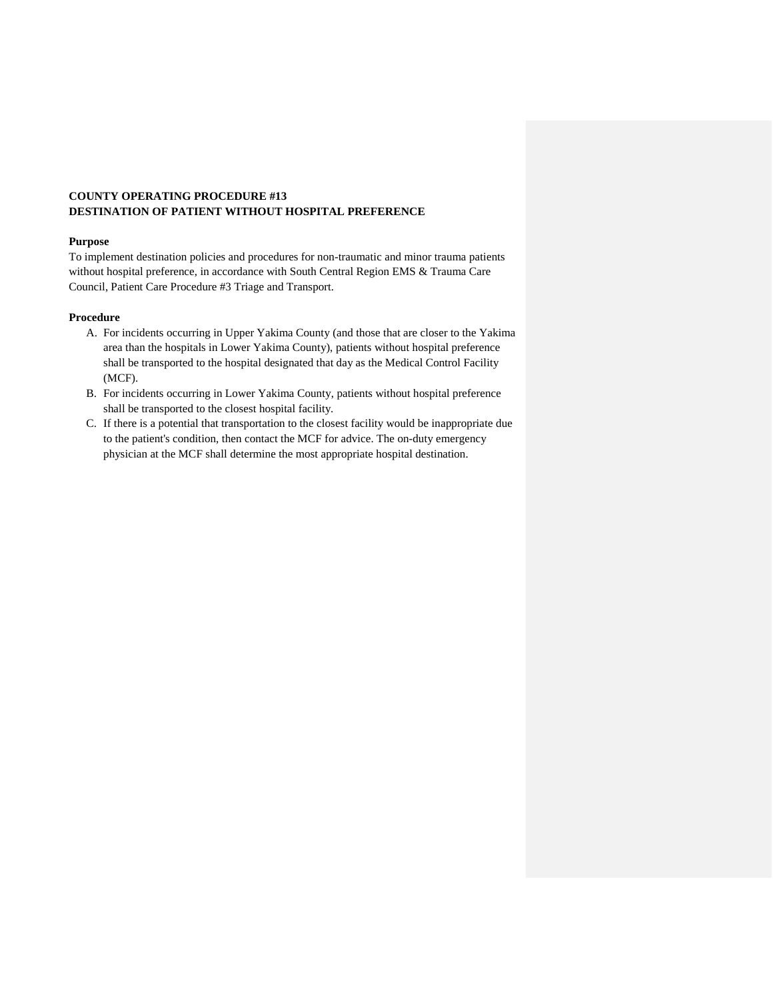## **COUNTY OPERATING PROCEDURE #13 DESTINATION OF PATIENT WITHOUT HOSPITAL PREFERENCE**

#### **Purpose**

To implement destination policies and procedures for non-traumatic and minor trauma patients without hospital preference, in accordance with South Central Region EMS & Trauma Care Council, Patient Care Procedure #3 Triage and Transport.

#### **Procedure**

- A. For incidents occurring in Upper Yakima County (and those that are closer to the Yakima area than the hospitals in Lower Yakima County), patients without hospital preference shall be transported to the hospital designated that day as the Medical Control Facility (MCF).
- B. For incidents occurring in Lower Yakima County, patients without hospital preference shall be transported to the closest hospital facility.
- C. If there is a potential that transportation to the closest facility would be inappropriate due to the patient's condition, then contact the MCF for advice. The on-duty emergency physician at the MCF shall determine the most appropriate hospital destination.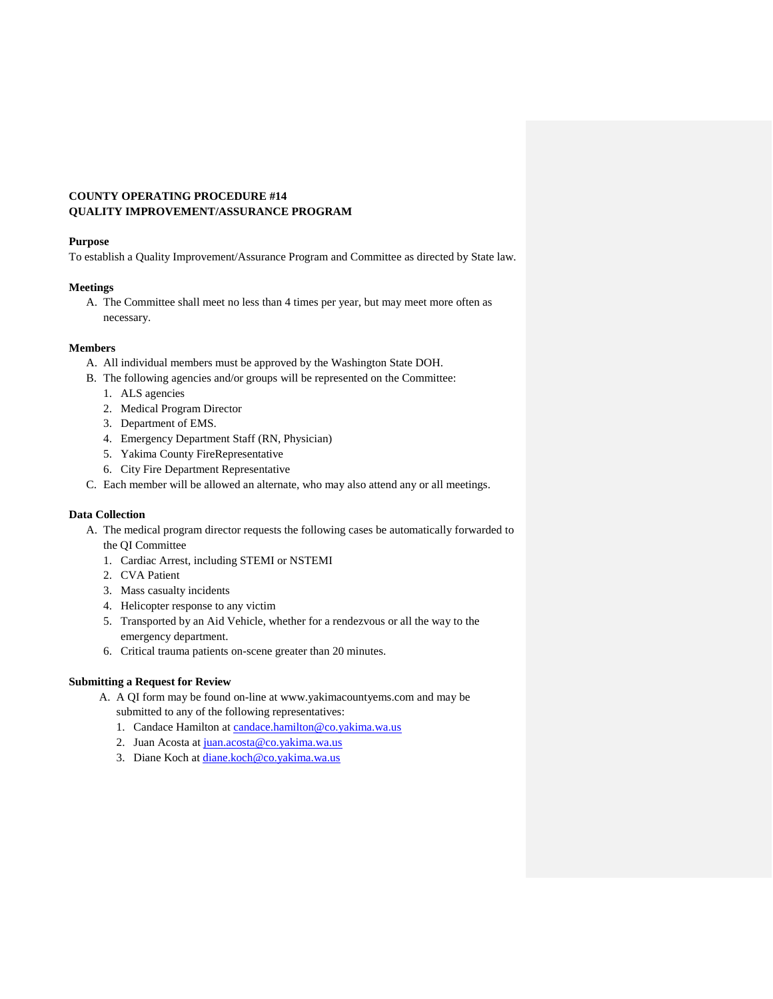## **COUNTY OPERATING PROCEDURE #14 QUALITY IMPROVEMENT/ASSURANCE PROGRAM**

#### **Purpose**

To establish a Quality Improvement/Assurance Program and Committee as directed by State law.

## **Meetings**

A. The Committee shall meet no less than 4 times per year, but may meet more often as necessary.

## **Members**

- A. All individual members must be approved by the Washington State DOH.
- B. The following agencies and/or groups will be represented on the Committee:
	- 1. ALS agencies
	- 2. Medical Program Director
	- 3. Department of EMS.
	- 4. Emergency Department Staff (RN, Physician)
	- 5. Yakima County FireRepresentative
	- 6. City Fire Department Representative
- C. Each member will be allowed an alternate, who may also attend any or all meetings.

## **Data Collection**

- A. The medical program director requests the following cases be automatically forwarded to the QI Committee
	- 1. Cardiac Arrest, including STEMI or NSTEMI
	- 2. CVA Patient
	- 3. Mass casualty incidents
	- 4. Helicopter response to any victim
	- 5. Transported by an Aid Vehicle, whether for a rendezvous or all the way to the emergency department.
	- 6. Critical trauma patients on-scene greater than 20 minutes.

## **Submitting a Request for Review**

- A. A QI form may be found on-line at www.yakimacountyems.com and may be submitted to any of the following representatives:
	- 1. Candace Hamilton at [candace.hamilton@co.yakima.wa.us](mailto:candace.hamilton@co.yakima.wa.us)
	- 2. Juan Acosta at [juan.acosta@co.yakima.wa.us](mailto:juan.acosta@co.yakima.wa.us)
	- 3. Diane Koch at [diane.koch@co.yakima.wa.us](file://///ems-nas/Share/EMS/MPD/PROTOCOL/County%20Operating%20Procedures%20Manual/2014/diane.koch@co.yakima.wa.us)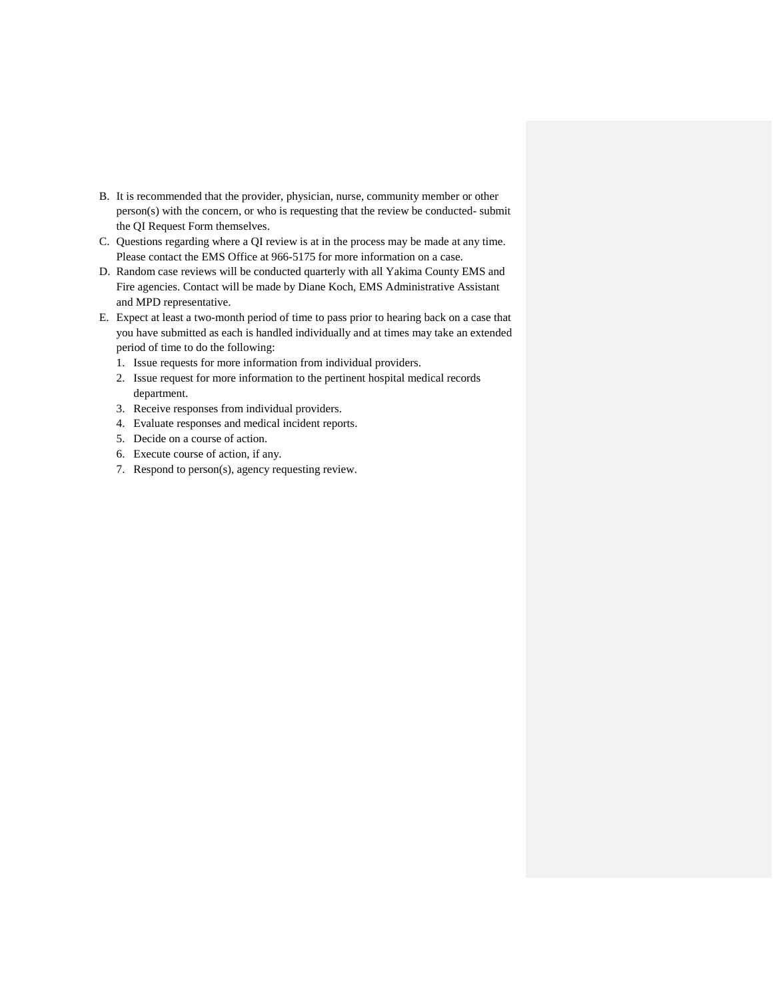- B. It is recommended that the provider, physician, nurse, community member or other person(s) with the concern, or who is requesting that the review be conducted- submit the QI Request Form themselves.
- C. Questions regarding where a QI review is at in the process may be made at any time. Please contact the EMS Office at 966-5175 for more information on a case.
- D. Random case reviews will be conducted quarterly with all Yakima County EMS and Fire agencies. Contact will be made by Diane Koch, EMS Administrative Assistant and MPD representative.
- E. Expect at least a two-month period of time to pass prior to hearing back on a case that you have submitted as each is handled individually and at times may take an extended period of time to do the following:
	- 1. Issue requests for more information from individual providers.
	- 2. Issue request for more information to the pertinent hospital medical records department.
	- 3. Receive responses from individual providers.
	- 4. Evaluate responses and medical incident reports.
	- 5. Decide on a course of action.
	- 6. Execute course of action, if any.
	- 7. Respond to person(s), agency requesting review.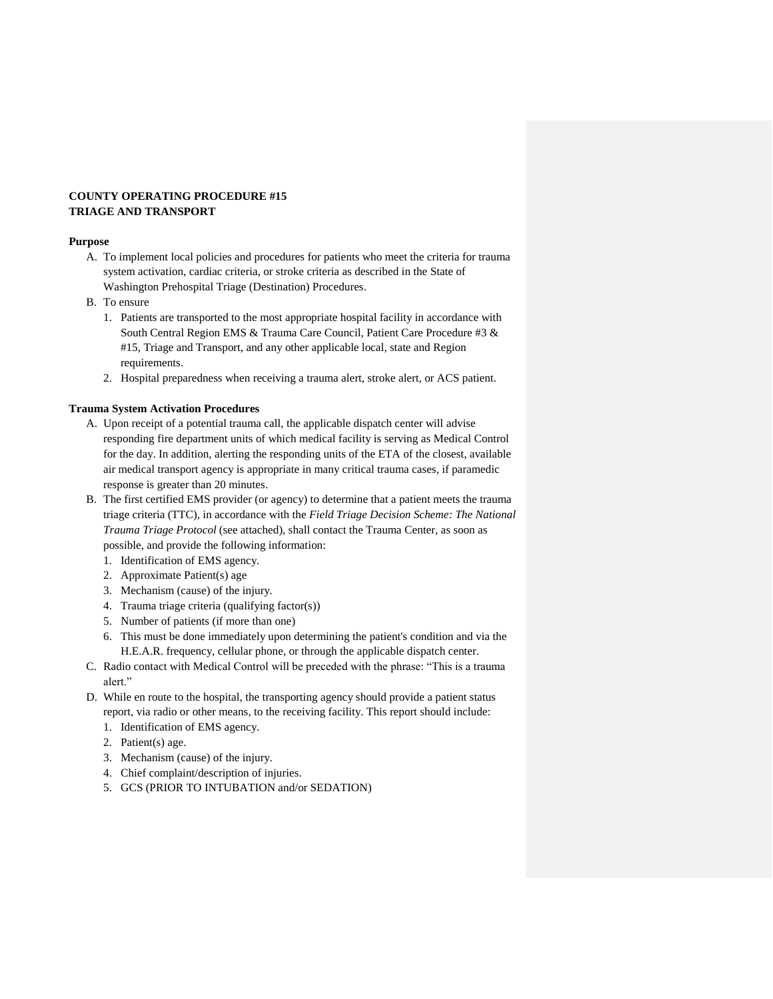## **COUNTY OPERATING PROCEDURE #15 TRIAGE AND TRANSPORT**

#### **Purpose**

- A. To implement local policies and procedures for patients who meet the criteria for trauma system activation, cardiac criteria, or stroke criteria as described in the State of Washington Prehospital Triage (Destination) Procedures.
- B. To ensure
	- 1. Patients are transported to the most appropriate hospital facility in accordance with South Central Region EMS & Trauma Care Council, Patient Care Procedure #3 & #15, Triage and Transport, and any other applicable local, state and Region requirements.
	- 2. Hospital preparedness when receiving a trauma alert, stroke alert, or ACS patient.

## **Trauma System Activation Procedures**

- A. Upon receipt of a potential trauma call, the applicable dispatch center will advise responding fire department units of which medical facility is serving as Medical Control for the day. In addition, alerting the responding units of the ETA of the closest, available air medical transport agency is appropriate in many critical trauma cases, if paramedic response is greater than 20 minutes.
- B. The first certified EMS provider (or agency) to determine that a patient meets the trauma triage criteria (TTC), in accordance with the *Field Triage Decision Scheme: The National Trauma Triage Protocol* (see attached), shall contact the Trauma Center, as soon as possible, and provide the following information:
	- 1. Identification of EMS agency.
	- 2. Approximate Patient(s) age
	- 3. Mechanism (cause) of the injury.
	- 4. Trauma triage criteria (qualifying factor(s))
	- 5. Number of patients (if more than one)
	- 6. This must be done immediately upon determining the patient's condition and via the H.E.A.R. frequency, cellular phone, or through the applicable dispatch center.
- C. Radio contact with Medical Control will be preceded with the phrase: "This is a trauma alert."
- D. While en route to the hospital, the transporting agency should provide a patient status report, via radio or other means, to the receiving facility. This report should include:
	- 1. Identification of EMS agency.
	- 2. Patient(s) age.
	- 3. Mechanism (cause) of the injury.
	- 4. Chief complaint/description of injuries.
	- 5. GCS (PRIOR TO INTUBATION and/or SEDATION)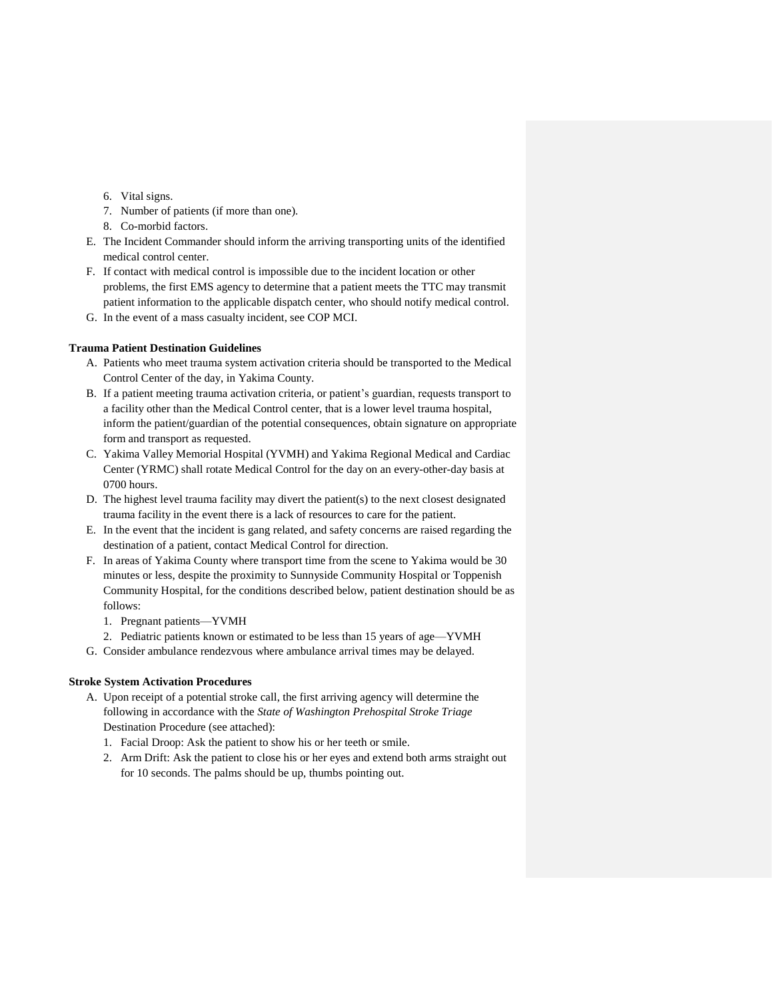- 6. Vital signs.
- 7. Number of patients (if more than one).
- 8. Co-morbid factors.
- E. The Incident Commander should inform the arriving transporting units of the identified medical control center.
- F. If contact with medical control is impossible due to the incident location or other problems, the first EMS agency to determine that a patient meets the TTC may transmit patient information to the applicable dispatch center, who should notify medical control.
- G. In the event of a mass casualty incident, see COP MCI.

#### **Trauma Patient Destination Guidelines**

- A. Patients who meet trauma system activation criteria should be transported to the Medical Control Center of the day, in Yakima County.
- B. If a patient meeting trauma activation criteria, or patient's guardian, requests transport to a facility other than the Medical Control center, that is a lower level trauma hospital, inform the patient/guardian of the potential consequences, obtain signature on appropriate form and transport as requested.
- C. Yakima Valley Memorial Hospital (YVMH) and Yakima Regional Medical and Cardiac Center (YRMC) shall rotate Medical Control for the day on an every-other-day basis at 0700 hours.
- D. The highest level trauma facility may divert the patient(s) to the next closest designated trauma facility in the event there is a lack of resources to care for the patient.
- E. In the event that the incident is gang related, and safety concerns are raised regarding the destination of a patient, contact Medical Control for direction.
- F. In areas of Yakima County where transport time from the scene to Yakima would be 30 minutes or less, despite the proximity to Sunnyside Community Hospital or Toppenish Community Hospital, for the conditions described below, patient destination should be as follows:
	- 1. Pregnant patients—YVMH
	- 2. Pediatric patients known or estimated to be less than 15 years of age—YVMH
- G. Consider ambulance rendezvous where ambulance arrival times may be delayed.

#### **Stroke System Activation Procedures**

- A. Upon receipt of a potential stroke call, the first arriving agency will determine the following in accordance with the *State of Washington Prehospital Stroke Triage*  Destination Procedure (see attached):
	- 1. Facial Droop: Ask the patient to show his or her teeth or smile.
	- 2. Arm Drift: Ask the patient to close his or her eyes and extend both arms straight out for 10 seconds. The palms should be up, thumbs pointing out.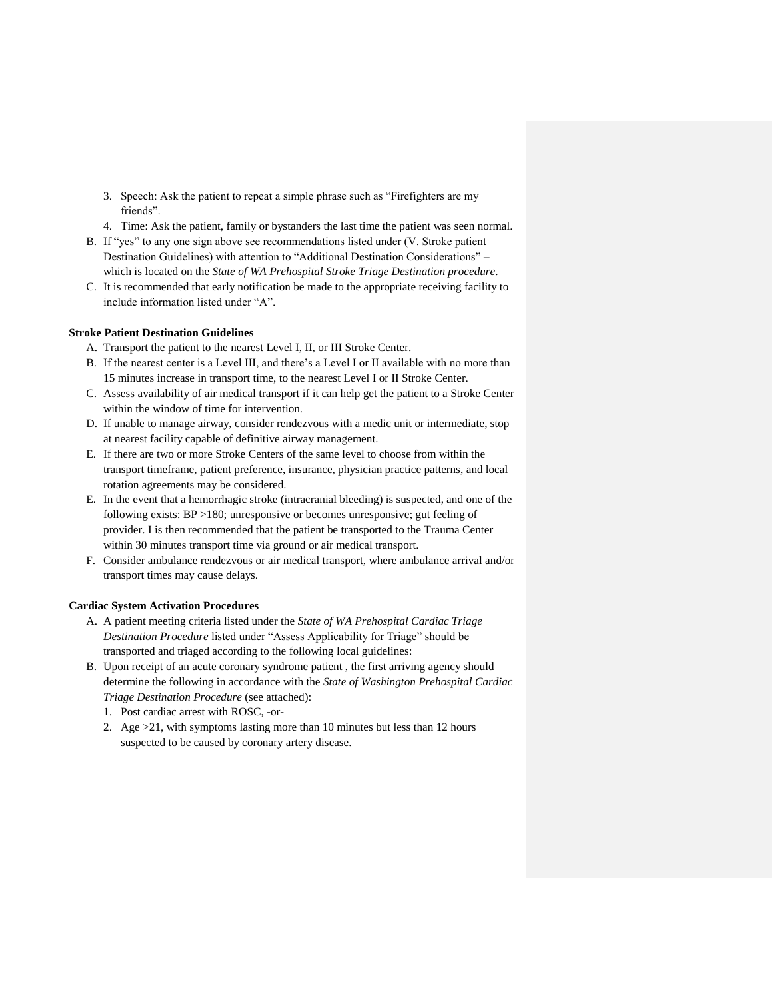- 3. Speech: Ask the patient to repeat a simple phrase such as "Firefighters are my friends".
- 4. Time: Ask the patient, family or bystanders the last time the patient was seen normal.
- B. If "yes" to any one sign above see recommendations listed under (V. Stroke patient Destination Guidelines) with attention to "Additional Destination Considerations" – which is located on the *State of WA Prehospital Stroke Triage Destination procedure*.
- C. It is recommended that early notification be made to the appropriate receiving facility to include information listed under "A".

#### **Stroke Patient Destination Guidelines**

- A. Transport the patient to the nearest Level I, II, or III Stroke Center.
- B. If the nearest center is a Level III, and there's a Level I or II available with no more than 15 minutes increase in transport time, to the nearest Level I or II Stroke Center.
- C. Assess availability of air medical transport if it can help get the patient to a Stroke Center within the window of time for intervention.
- D. If unable to manage airway, consider rendezvous with a medic unit or intermediate, stop at nearest facility capable of definitive airway management.
- E. If there are two or more Stroke Centers of the same level to choose from within the transport timeframe, patient preference, insurance, physician practice patterns, and local rotation agreements may be considered.
- E. In the event that a hemorrhagic stroke (intracranial bleeding) is suspected, and one of the following exists: BP >180; unresponsive or becomes unresponsive; gut feeling of provider. I is then recommended that the patient be transported to the Trauma Center within 30 minutes transport time via ground or air medical transport.
- F. Consider ambulance rendezvous or air medical transport, where ambulance arrival and/or transport times may cause delays.

## **Cardiac System Activation Procedures**

- A. A patient meeting criteria listed under the *State of WA Prehospital Cardiac Triage Destination Procedure* listed under "Assess Applicability for Triage" should be transported and triaged according to the following local guidelines:
- B. Upon receipt of an acute coronary syndrome patient , the first arriving agency should determine the following in accordance with the *State of Washington Prehospital Cardiac Triage Destination Procedure* (see attached):
	- 1. Post cardiac arrest with ROSC, -or-
	- 2. Age >21, with symptoms lasting more than 10 minutes but less than 12 hours suspected to be caused by coronary artery disease.